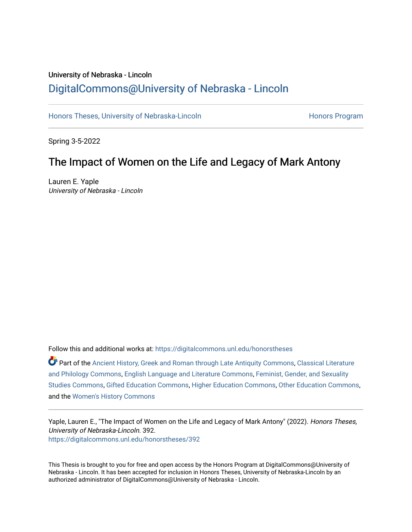# University of Nebraska - Lincoln [DigitalCommons@University of Nebraska - Lincoln](https://digitalcommons.unl.edu/)

[Honors Theses, University of Nebraska-Lincoln](https://digitalcommons.unl.edu/honorstheses) **Honors Program** Honors Program

Spring 3-5-2022

## The Impact of Women on the Life and Legacy of Mark Antony

Lauren E. Yaple University of Nebraska - Lincoln

Follow this and additional works at: [https://digitalcommons.unl.edu/honorstheses](https://digitalcommons.unl.edu/honorstheses?utm_source=digitalcommons.unl.edu%2Fhonorstheses%2F392&utm_medium=PDF&utm_campaign=PDFCoverPages)

Part of the [Ancient History, Greek and Roman through Late Antiquity Commons](http://network.bepress.com/hgg/discipline/447?utm_source=digitalcommons.unl.edu%2Fhonorstheses%2F392&utm_medium=PDF&utm_campaign=PDFCoverPages), [Classical Literature](http://network.bepress.com/hgg/discipline/451?utm_source=digitalcommons.unl.edu%2Fhonorstheses%2F392&utm_medium=PDF&utm_campaign=PDFCoverPages)  [and Philology Commons,](http://network.bepress.com/hgg/discipline/451?utm_source=digitalcommons.unl.edu%2Fhonorstheses%2F392&utm_medium=PDF&utm_campaign=PDFCoverPages) [English Language and Literature Commons](http://network.bepress.com/hgg/discipline/455?utm_source=digitalcommons.unl.edu%2Fhonorstheses%2F392&utm_medium=PDF&utm_campaign=PDFCoverPages), [Feminist, Gender, and Sexuality](http://network.bepress.com/hgg/discipline/559?utm_source=digitalcommons.unl.edu%2Fhonorstheses%2F392&utm_medium=PDF&utm_campaign=PDFCoverPages)  [Studies Commons,](http://network.bepress.com/hgg/discipline/559?utm_source=digitalcommons.unl.edu%2Fhonorstheses%2F392&utm_medium=PDF&utm_campaign=PDFCoverPages) [Gifted Education Commons,](http://network.bepress.com/hgg/discipline/1048?utm_source=digitalcommons.unl.edu%2Fhonorstheses%2F392&utm_medium=PDF&utm_campaign=PDFCoverPages) [Higher Education Commons,](http://network.bepress.com/hgg/discipline/1245?utm_source=digitalcommons.unl.edu%2Fhonorstheses%2F392&utm_medium=PDF&utm_campaign=PDFCoverPages) [Other Education Commons,](http://network.bepress.com/hgg/discipline/811?utm_source=digitalcommons.unl.edu%2Fhonorstheses%2F392&utm_medium=PDF&utm_campaign=PDFCoverPages) and the [Women's History Commons](http://network.bepress.com/hgg/discipline/507?utm_source=digitalcommons.unl.edu%2Fhonorstheses%2F392&utm_medium=PDF&utm_campaign=PDFCoverPages)

Yaple, Lauren E., "The Impact of Women on the Life and Legacy of Mark Antony" (2022). Honors Theses, University of Nebraska-Lincoln. 392. [https://digitalcommons.unl.edu/honorstheses/392](https://digitalcommons.unl.edu/honorstheses/392?utm_source=digitalcommons.unl.edu%2Fhonorstheses%2F392&utm_medium=PDF&utm_campaign=PDFCoverPages)

This Thesis is brought to you for free and open access by the Honors Program at DigitalCommons@University of Nebraska - Lincoln. It has been accepted for inclusion in Honors Theses, University of Nebraska-Lincoln by an authorized administrator of DigitalCommons@University of Nebraska - Lincoln.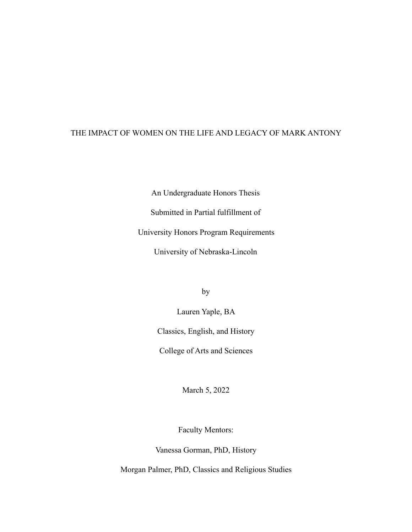## THE IMPACT OF WOMEN ON THE LIFE AND LEGACY OF MARK ANTONY

An Undergraduate Honors Thesis

Submitted in Partial fulfillment of

University Honors Program Requirements

University of Nebraska-Lincoln

by

Lauren Yaple, BA Classics, English, and History

College of Arts and Sciences

March 5, 2022

Faculty Mentors:

Vanessa Gorman, PhD, History

Morgan Palmer, PhD, Classics and Religious Studies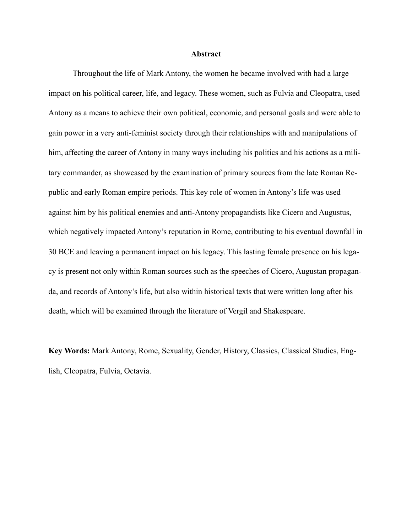#### **Abstract**

Throughout the life of Mark Antony, the women he became involved with had a large impact on his political career, life, and legacy. These women, such as Fulvia and Cleopatra, used Antony as a means to achieve their own political, economic, and personal goals and were able to gain power in a very anti-feminist society through their relationships with and manipulations of him, affecting the career of Antony in many ways including his politics and his actions as a military commander, as showcased by the examination of primary sources from the late Roman Republic and early Roman empire periods. This key role of women in Antony's life was used against him by his political enemies and anti-Antony propagandists like Cicero and Augustus, which negatively impacted Antony's reputation in Rome, contributing to his eventual downfall in 30 BCE and leaving a permanent impact on his legacy. This lasting female presence on his legacy is present not only within Roman sources such as the speeches of Cicero, Augustan propaganda, and records of Antony's life, but also within historical texts that were written long after his death, which will be examined through the literature of Vergil and Shakespeare.

**Key Words:** Mark Antony, Rome, Sexuality, Gender, History, Classics, Classical Studies, English, Cleopatra, Fulvia, Octavia.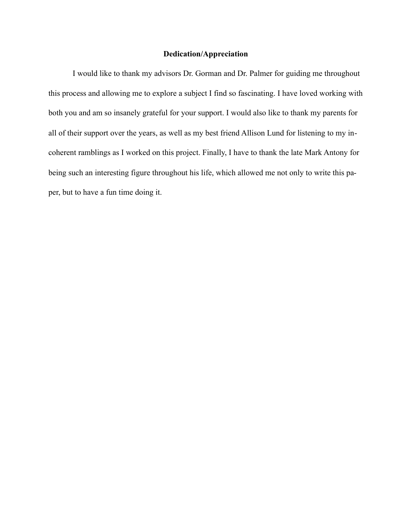## **Dedication/Appreciation**

I would like to thank my advisors Dr. Gorman and Dr. Palmer for guiding me throughout this process and allowing me to explore a subject I find so fascinating. I have loved working with both you and am so insanely grateful for your support. I would also like to thank my parents for all of their support over the years, as well as my best friend Allison Lund for listening to my incoherent ramblings as I worked on this project. Finally, I have to thank the late Mark Antony for being such an interesting figure throughout his life, which allowed me not only to write this paper, but to have a fun time doing it.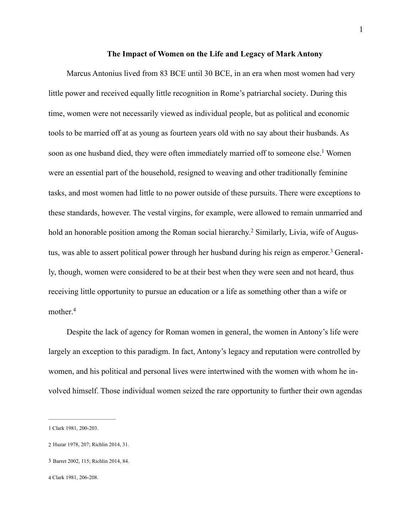### <span id="page-4-4"></span>**The Impact of Women on the Life and Legacy of Mark Antony**

Marcus Antonius lived from 83 BCE until 30 BCE, in an era when most women had very little power and received equally little recognition in Rome's patriarchal society. During this time, women were not necessarily viewed as individual people, but as political and economic tools to be married off at as young as fourteen years old with no say about their husbands. As soon as one husband died, they were often immediately married off to someone else[.](#page-4-0)<sup>[1](#page-4-0)</sup> Women were an essential part of the household, resigned to weaving and other traditionally feminine tasks, and most women had little to no power outside of these pursuits. There were exceptions to these standards, however. The vestal virgins, for example, were allowed to remain unmarried and holdan honorable position among the Roman social hierarchy.<sup>2</sup> Similarly, Livia, wife of Augustus,was able to assert political power through her husband during his reign as emperor.<sup>3</sup> Generally, though, women were considered to be at their best when they were seen and not heard, thus receiving little opportunity to pursue an education or a life as something other than a wife or mother. [4](#page-4-3)

<span id="page-4-7"></span><span id="page-4-6"></span><span id="page-4-5"></span>Despite the lack of agency for Roman women in general, the women in Antony's life were largely an exception to this paradigm. In fact, Antony's legacy and reputation were controlled by women, and his political and personal lives were intertwined with the women with whom he involved himself. Those individual women seized the rare opportunity to further their own agendas

<span id="page-4-0"></span>[<sup>1</sup>](#page-4-4) Clark 1981, 200-203.

<span id="page-4-1"></span>[<sup>2</sup>](#page-4-5) Huzar 1978, 207; Richlin 2014, 31.

<span id="page-4-2"></span>[<sup>3</sup>](#page-4-6) Barret 2002, 115; Richlin 2014, 84.

<span id="page-4-3"></span>[<sup>4</sup>](#page-4-7) Clark 1981, 206-208.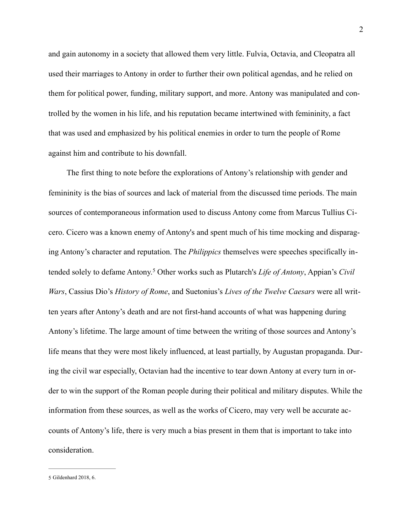and gain autonomy in a society that allowed them very little. Fulvia, Octavia, and Cleopatra all used their marriages to Antony in order to further their own political agendas, and he relied on them for political power, funding, military support, and more. Antony was manipulated and controlled by the women in his life, and his reputation became intertwined with femininity, a fact that was used and emphasized by his political enemies in order to turn the people of Rome against him and contribute to his downfall.

<span id="page-5-1"></span>The first thing to note before the explorations of Antony's relationship with gender and femininity is the bias of sources and lack of material from the discussed time periods. The main sources of contemporaneous information used to discuss Antony come from Marcus Tullius Cicero. Cicero was a known enemy of Antony's and spent much of his time mocking and disparaging Antony's character and reputation. The *Philippics* themselves were speeches specifically intendedsolely to defame Antony.<sup>5</sup> Other works such as Plutarch's *Life of Antony*, Appian's *Civil Wars*, Cassius Dio's *History of Rome*, and Suetonius's *Lives of the Twelve Caesars* were all written years after Antony's death and are not first-hand accounts of what was happening during Antony's lifetime. The large amount of time between the writing of those sources and Antony's life means that they were most likely influenced, at least partially, by Augustan propaganda. During the civil war especially, Octavian had the incentive to tear down Antony at every turn in order to win the support of the Roman people during their political and military disputes. While the information from these sources, as well as the works of Cicero, may very well be accurate accounts of Antony's life, there is very much a bias present in them that is important to take into consideration.

<span id="page-5-0"></span>[<sup>5</sup>](#page-5-1) Gildenhard 2018, 6.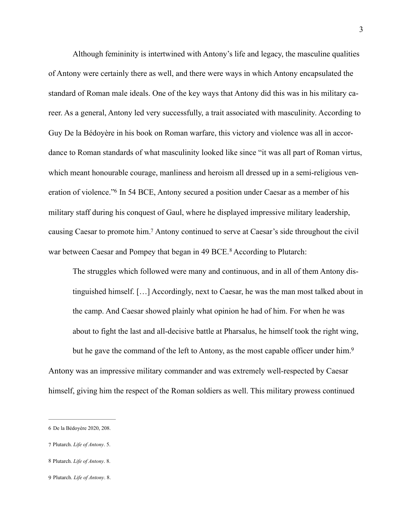Although femininity is intertwined with Antony's life and legacy, the masculine qualities of Antony were certainly there as well, and there were ways in which Antony encapsulated the standard of Roman male ideals. One of the key ways that Antony did this was in his military career. As a general, Antony led very successfully, a trait associated with masculinity. According to Guy De la Bédoyère in his book on Roman warfare, this victory and violence was all in accordance to Roman standards of what masculinity looked like since "it was all part of Roman virtus, which meant honourable courage, manliness and heroism all dressed up in a semi-religious ven-eration of violence.["](#page-6-0) In 54 BCE, Antony secured a position under Caesar as a member of his military staff during his conquest of Gaul, where he displayed impressive military leadership, causing Caesar to promote him[.](#page-6-1)<sup>[7](#page-6-1)</sup> Antony continued to serve at Caesar's side throughout the civil warbetween Caesar and Pompey that began in 49 BCE.<sup>[8](#page-6-2)</sup> According to Plutarch:

<span id="page-6-6"></span><span id="page-6-5"></span><span id="page-6-4"></span>The struggles which followed were many and continuous, and in all of them Antony distinguished himself. […] Accordingly, next to Caesar, he was the man most talked about in the camp. And Caesar showed plainly what opinion he had of him. For when he was about to fight the last and all-decisive battle at Pharsalus, he himself took the right wing, but he gave the command of the left to Antony, as the most capable officer under him.<sup>9</sup> Antony was an impressive military commander and was extremely well-respected by Caesar himself, giving him the respect of the Roman soldiers as well. This military prowess continued

<span id="page-6-1"></span>[7](#page-6-5) Plutarch. *Life of Antony*. 5.

<span id="page-6-7"></span><span id="page-6-0"></span>[<sup>6</sup>](#page-6-4) De la Bédoyère 2020, 208.

<span id="page-6-2"></span>[<sup>8</sup>](#page-6-6) Plutarch. *Life of Antony*. 8.

<span id="page-6-3"></span>[<sup>9</sup>](#page-6-7) Plutarch. *Life of Antony*. 8.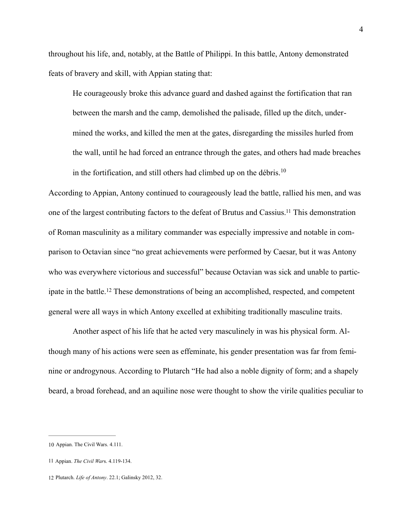throughout his life, and, notably, at the Battle of Philippi. In this battle, Antony demonstrated feats of bravery and skill, with Appian stating that:

<span id="page-7-3"></span>He courageously broke this advance guard and dashed against the fortification that ran between the marsh and the camp, demolished the palisade, filled up the ditch, undermined the works, and killed the men at the gates, disregarding the missiles hurled from the wall, until he had forced an entrance through the gates, and others had made breaches in the fortification, and still others had climbed up on the débris.<sup>[10](#page-7-0)</sup>

<span id="page-7-4"></span>According to Appian, Antony continued to courageously lead the battle, rallied his men, and was one of the largest contributing factors to the defeat of Brutus and Cassius[.](#page-7-1)<sup>[11](#page-7-1)</sup> This demonstration of Roman masculinity as a military commander was especially impressive and notable in comparison to Octavian since "no great achievements were performed by Caesar, but it was Antony who was everywhere victorious and successful" because Octavian was sick and unable to partic-ipatein the battle.<sup>[12](#page-7-2)</sup> These demonstrations of being an accomplished, respected, and competent general were all ways in which Antony excelled at exhibiting traditionally masculine traits.

<span id="page-7-5"></span>Another aspect of his life that he acted very masculinely in was his physical form. Although many of his actions were seen as effeminate, his gender presentation was far from feminine or androgynous. According to Plutarch "He had also a noble dignity of form; and a shapely beard, a broad forehead, and an aquiline nose were thought to show the virile qualities peculiar to

<span id="page-7-0"></span>[<sup>10</sup>](#page-7-3) Appian. The Civil Wars. 4.111.

<span id="page-7-1"></span>[<sup>11</sup>](#page-7-4) Appian. *The Civil War*s. 4.119-134.

<span id="page-7-2"></span>[<sup>12</sup>](#page-7-5) Plutarch. *Life of Antony*. 22.1; Galinsky 2012, 32.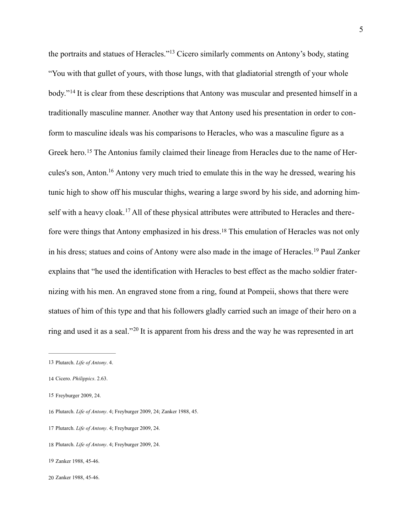<span id="page-8-11"></span><span id="page-8-10"></span><span id="page-8-9"></span><span id="page-8-8"></span>theportraits and statues of Heracles."<sup>[13](#page-8-0)</sup> Cicero similarly comments on Antony's body, stating "You with that gullet of yours, with those lungs, with that gladiatorial strength of your whole body."<sup>14</sup>It is clear from these descriptions that Antony was muscular and presented himself in a traditionally masculine manner. Another way that Antony used his presentation in order to conform to masculine ideals was his comparisons to Heracles, who was a masculine figure as a Greekhero.<sup>15</sup> The Antonius family claimed their lineage from Heracles due to the name of Her-cules'sson, Anton.<sup>[16](#page-8-3)</sup> Antony very much tried to emulate this in the way he dressed, wearing his tunic high to show off his muscular thighs, wearing a large sword by his side, and adorning himselfwith a heavy cloak.<sup>17</sup> All of these physical attributes were attributed to Heracles and there-forewere things that Antony emphasized in his dress.<sup>[18](#page-8-5)</sup> This emulation of Heracles was not only inhis dress; statues and coins of Antony were also made in the image of Heracles.<sup>[19](#page-8-6)</sup> Paul Zanker explains that "he used the identification with Heracles to best effect as the macho soldier fraternizing with his men. An engraved stone from a ring, found at Pompeii, shows that there were statues of him of this type and that his followers gladly carried such an image of their hero on a ringand used it as a seal."<sup>[20](#page-8-7)</sup> It is apparent from his dress and the way he was represented in art

<span id="page-8-15"></span><span id="page-8-14"></span><span id="page-8-13"></span><span id="page-8-12"></span><span id="page-8-0"></span>[<sup>13</sup>](#page-8-8) Plutarch. *Life of Antony*. 4.

<span id="page-8-1"></span>[<sup>14</sup>](#page-8-9) Cicero. *Philippics*. 2.63.

<span id="page-8-2"></span>[<sup>15</sup>](#page-8-10) Freyburger 2009, 24.

<span id="page-8-3"></span>[<sup>16</sup>](#page-8-11) Plutarch. *Life of Antony*. 4; Freyburger 2009, 24; Zanker 1988, 45.

<span id="page-8-4"></span>[<sup>17</sup>](#page-8-12) Plutarch. *Life of Antony*. 4; Freyburger 2009, 24.

<span id="page-8-5"></span>[<sup>18</sup>](#page-8-13) Plutarch. *Life of Antony*. 4; Freyburger 2009, 24.

<span id="page-8-6"></span>[<sup>19</sup>](#page-8-14) Zanker 1988, 45-46.

<span id="page-8-7"></span>[<sup>20</sup>](#page-8-15) Zanker 1988, 45-46.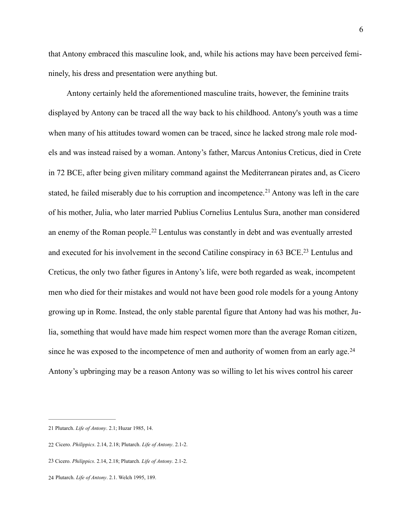that Antony embraced this masculine look, and, while his actions may have been perceived femininely, his dress and presentation were anything but.

<span id="page-9-6"></span><span id="page-9-5"></span><span id="page-9-4"></span>Antony certainly held the aforementioned masculine traits, however, the feminine traits displayed by Antony can be traced all the way back to his childhood. Antony's youth was a time when many of his attitudes toward women can be traced, since he lacked strong male role models and was instead raised by a woman. Antony's father, Marcus Antonius Creticus, died in Crete in 72 BCE, after being given military command against the Mediterranean pirates and, as Cicero stated,he failed miserably due to his corruption and incompetence.<sup>[21](#page-9-0)</sup> Antony was left in the care of his mother, Julia, who later married Publius Cornelius Lentulus Sura, another man considered anenemy of the Roman people.<sup>[22](#page-9-1)</sup> Lentulus was constantly in debt and was eventually arrested and executed for his involvement in the second Catiline conspiracy in  $63$  BCE[.](#page-9-2)<sup>[23](#page-9-2)</sup> Lentulus and Creticus, the only two father figures in Antony's life, were both regarded as weak, incompetent men who died for their mistakes and would not have been good role models for a young Antony growing up in Rome. Instead, the only stable parental figure that Antony had was his mother, Julia, something that would have made him respect women more than the average Roman citizen, since he was exposed to the incompetence of men and authority of women from an early age.<sup>[24](#page-9-3)</sup> Antony's upbringing may be a reason Antony was so willing to let his wives control his career

<span id="page-9-7"></span><span id="page-9-0"></span>[<sup>21</sup>](#page-9-4) Plutarch. *Life of Antony*. 2.1; Huzar 1985, 14.

<span id="page-9-1"></span>[<sup>22</sup>](#page-9-5) Cicero. *Philippics*. 2.14, 2.18; Plutarch. *Life of Antony*. 2.1-2.

<span id="page-9-2"></span>[<sup>23</sup>](#page-9-6) Cicero. *Philippics*. 2.14, 2.18; Plutarch. *Life of Antony*. 2.1-2.

<span id="page-9-3"></span>[<sup>24</sup>](#page-9-7) Plutarch. *Life of Antony*. 2.1. Welch 1995, 189.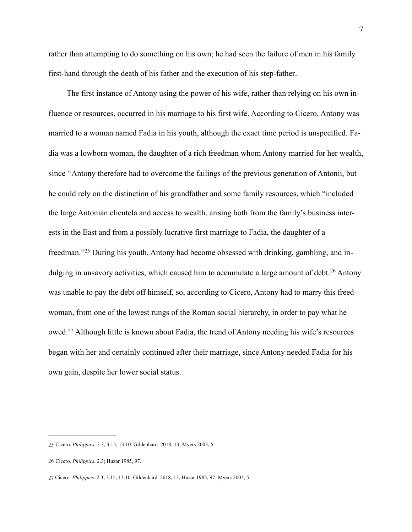rather than attempting to do something on his own; he had seen the failure of men in his family first-hand through the death of his father and the execution of his step-father.

<span id="page-10-3"></span>The first instance of Antony using the power of his wife, rather than relying on his own influence or resources, occurred in his marriage to his first wife. According to Cicero, Antony was married to a woman named Fadia in his youth, although the exact time period is unspecified. Fadia was a lowborn woman, the daughter of a rich freedman whom Antony married for her wealth, since "Antony therefore had to overcome the failings of the previous generation of Antonii, but he could rely on the distinction of his grandfather and some family resources, which "included the large Antonian clientela and access to wealth, arising both from the family's business interests in the East and from a possibly lucrative first marriage to Fadia, the daughter of a freedman."<sup>25</sup>During his youth, Antony had become obsessed with drinking, gambling, and in-dulgingin unsavory activities, which caused him to accumulate a large amount of debt.<sup>[26](#page-10-1)</sup> Antony was unable to pay the debt off himself, so, according to Cicero, Antony had to marry this freedwoman, from one of the lowest rungs of the Roman social hierarchy, in order to pay what he owed[.](#page-10-2)<sup>[27](#page-10-2)</sup> Although little is known about Fadia, the trend of Antony needing his wife's resources began with her and certainly continued after their marriage, since Antony needed Fadia for his own gain, despite her lower social status.

<span id="page-10-5"></span><span id="page-10-4"></span><span id="page-10-0"></span>[<sup>25</sup>](#page-10-3) Cicero. *Philippics*. 2.3; 3.15, 13.10. Gildenhard. 2018, 13; Myers 2003, 5.

<span id="page-10-1"></span>[<sup>26</sup>](#page-10-4) Cicero. *Philippics.* 2.3; Huzar 1985, 97.

<span id="page-10-2"></span>[<sup>27</sup>](#page-10-5) Cicero. *Philippics*. 2.3; 3.15, 13.10. Gildenhard. 2018, 13; Huzar 1985, 97; Myers 2003, 5.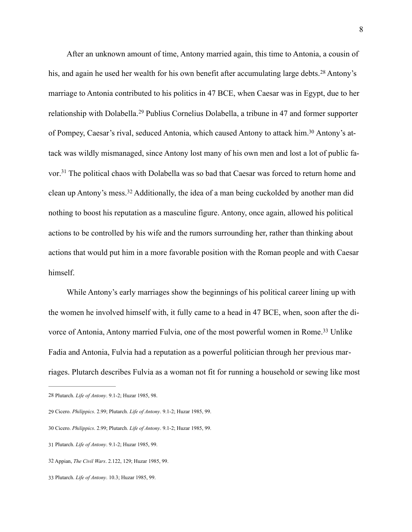<span id="page-11-8"></span><span id="page-11-7"></span><span id="page-11-6"></span>After an unknown amount of time, Antony married again, this time to Antonia, a cousin of his,and again he used her wealth for his own benefit after accumulating large debts.<sup>[28](#page-11-0)</sup> Antony's marriage to Antonia contributed to his politics in 47 BCE, when Caesar was in Egypt, due to her relationshipwith Dolabella.<sup>[29](#page-11-1)</sup> Publius Cornelius Dolabella, a tribune in 47 and former supporter of Pompey, Caesar's rival, seduced Antonia, which caused Antony to attack him[.](#page-11-2)<sup>30</sup> Antony's attack was wildly mismanaged, since Antony lost many of his own men and lost a lot of public fa-vor[.](#page-11-3)<sup>[31](#page-11-3)</sup> The political chaos with Dolabella was so bad that Caesar was forced to return home and cleanup Antony's mess.<sup>[32](#page-11-4)</sup> Additionally, the idea of a man being cuckolded by another man did nothing to boost his reputation as a masculine figure. Antony, once again, allowed his political actions to be controlled by his wife and the rumors surrounding her, rather than thinking about actions that would put him in a more favorable position with the Roman people and with Caesar himself.

<span id="page-11-11"></span><span id="page-11-10"></span><span id="page-11-9"></span>While Antony's early marriages show the beginnings of his political career lining up with the women he involved himself with, it fully came to a head in 47 BCE, when, soon after the di-vorce of Antonia, Antony married Fulvia, one of the most powerful women in Rome[.](#page-11-5)<sup>[33](#page-11-5)</sup> Unlike Fadia and Antonia, Fulvia had a reputation as a powerful politician through her previous marriages. Plutarch describes Fulvia as a woman not fit for running a household or sewing like most

<span id="page-11-0"></span>[<sup>28</sup>](#page-11-6) Plutarch. *Life of Antony*. 9.1-2; Huzar 1985, 98.

<span id="page-11-1"></span>[<sup>29</sup>](#page-11-7) Cicero. *Philippics*. 2.99; Plutarch. *Life of Antony*. 9.1-2; Huzar 1985, 99.

<span id="page-11-2"></span>[<sup>30</sup>](#page-11-8) Cicero. *Philippics*. 2.99; Plutarch. *Life of Antony*. 9.1-2; Huzar 1985, 99.

<span id="page-11-3"></span>[<sup>31</sup>](#page-11-9) Plutarch. *Life of Antony*. 9.1-2; Huzar 1985, 99.

<span id="page-11-4"></span>[<sup>32</sup>](#page-11-10) Appian, *The Civil Wars*. 2.122, 129; Huzar 1985, 99.

<span id="page-11-5"></span>[<sup>33</sup>](#page-11-11) Plutarch. *Life of Antony*. 10.3; Huzar 1985, 99.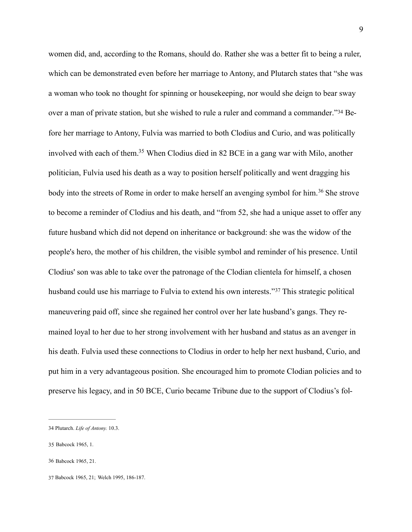<span id="page-12-6"></span><span id="page-12-5"></span><span id="page-12-4"></span>women did, and, according to the Romans, should do. Rather she was a better fit to being a ruler, which can be demonstrated even before her marriage to Antony, and Plutarch states that "she was a woman who took no thought for spinning or housekeeping, nor would she deign to bear sway overa man of private station, but she wished to rule a ruler and command a commander."<sup>34</sup> Before her marriage to Antony, Fulvia was married to both Clodius and Curio, and was politically involved with each of them.<sup>[35](#page-12-1)</sup> When Clodius died in 82 BCE in a gang war with Milo, another politician, Fulvia used his death as a way to position herself politically and went dragging his bodyinto the streets of Rome in order to make herself an avenging symbol for him.<sup>[36](#page-12-2)</sup> She strove to become a reminder of Clodius and his death, and "from 52, she had a unique asset to offer any future husband which did not depend on inheritance or background: she was the widow of the people's hero, the mother of his children, the visible symbol and reminder of his presence. Until Clodius' son was able to take over the patronage of the Clodian clientela for himself, a chosen husbandcould use his marriage to Fulvia to extend his own interests."<sup>[37](#page-12-3)</sup> This strategic political maneuvering paid off, since she regained her control over her late husband's gangs. They remained loyal to her due to her strong involvement with her husband and status as an avenger in his death. Fulvia used these connections to Clodius in order to help her next husband, Curio, and put him in a very advantageous position. She encouraged him to promote Clodian policies and to preserve his legacy, and in 50 BCE, Curio became Tribune due to the support of Clodius's fol-

<span id="page-12-7"></span><span id="page-12-0"></span>[<sup>34</sup>](#page-12-4) Plutarch. *Life of Antony.* 10.3.

<span id="page-12-1"></span>[<sup>35</sup>](#page-12-5) Babcock 1965, 1.

<span id="page-12-2"></span>[<sup>36</sup>](#page-12-6) Babcock 1965, 21.

<span id="page-12-3"></span>[<sup>37</sup>](#page-12-7) Babcock 1965, 21; Welch 1995, 186-187.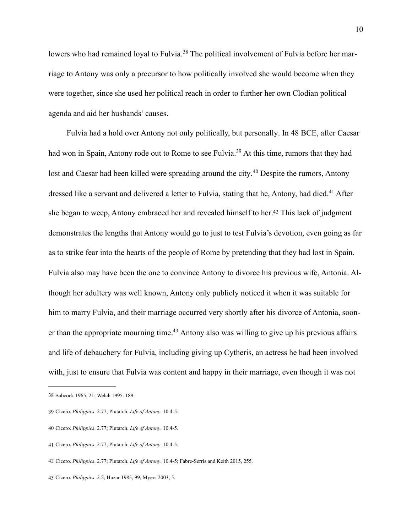<span id="page-13-6"></span>lowerswho had remained loyal to Fulvia.<sup>38</sup> The political involvement of Fulvia before her marriage to Antony was only a precursor to how politically involved she would become when they were together, since she used her political reach in order to further her own Clodian political agenda and aid her husbands' causes.

<span id="page-13-10"></span><span id="page-13-9"></span><span id="page-13-8"></span><span id="page-13-7"></span>Fulvia had a hold over Antony not only politically, but personally. In 48 BCE, after Caesar had won in Spain, Antony rode out to Rome to see Fulvia[.](#page-13-1)<sup>[39](#page-13-1)</sup> At this time, rumors that they had lostand Caesar had been killed were spreading around the city.<sup>[40](#page-13-2)</sup> Despite the rumors, Antony dressedlike a servant and delivered a letter to Fulvia, stating that he. Antony, had died.<sup>[41](#page-13-3)</sup> After she began to weep, Antony embraced her and revealed himself to her[.](#page-13-4)<sup>[42](#page-13-4)</sup> This lack of judgment demonstrates the lengths that Antony would go to just to test Fulvia's devotion, even going as far as to strike fear into the hearts of the people of Rome by pretending that they had lost in Spain. Fulvia also may have been the one to convince Antony to divorce his previous wife, Antonia. Although her adultery was well known, Antony only publicly noticed it when it was suitable for him to marry Fulvia, and their marriage occurred very shortly after his divorce of Antonia, soon-er than the appropriate mourning time[.](#page-13-5)<sup> $43$ </sup> Antony also was willing to give up his previous affairs and life of debauchery for Fulvia, including giving up Cytheris, an actress he had been involved with, just to ensure that Fulvia was content and happy in their marriage, even though it was not

<span id="page-13-11"></span><span id="page-13-0"></span>[<sup>38</sup>](#page-13-6) Babcock 1965, 21; Welch 1995. 189.

<span id="page-13-1"></span>[<sup>39</sup>](#page-13-7) Cicero. *Philippics*. 2.77; Plutarch. *Life of Antony*. 10.4-5.

<span id="page-13-2"></span>[<sup>40</sup>](#page-13-8) Cicero. *Philippics*. 2.77; Plutarch. *Life of Antony*. 10.4-5.

<span id="page-13-3"></span>[<sup>41</sup>](#page-13-9) Cicero. *Philippics*. 2.77; Plutarch. *Life of Antony*. 10.4-5.

<span id="page-13-4"></span>[<sup>42</sup>](#page-13-10) Cicero. *Philippics*. 2.77; Plutarch. *Life of Antony*. 10.4-5; Fabre-Serris and Keith 2015, 255.

<span id="page-13-5"></span>[<sup>43</sup>](#page-13-11) Cicero. *Philippics*. 2.2; Huzar 1985, 99; Myers 2003, 5.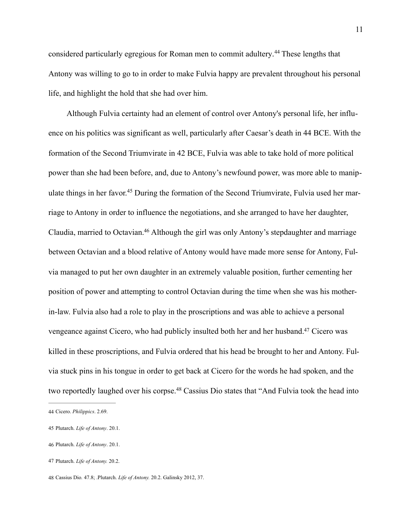<span id="page-14-5"></span>consideredparticularly egregious for Roman men to commit adultery.<sup>[44](#page-14-0)</sup> These lengths that Antony was willing to go to in order to make Fulvia happy are prevalent throughout his personal life, and highlight the hold that she had over him.

<span id="page-14-7"></span><span id="page-14-6"></span>Although Fulvia certainty had an element of control over Antony's personal life, her influence on his politics was significant as well, particularly after Caesar's death in 44 BCE. With the formation of the Second Triumvirate in 42 BCE, Fulvia was able to take hold of more political power than she had been before, and, due to Antony's newfound power, was more able to manipulatethings in her favor.<sup>45</sup> During the formation of the Second Triumvirate, Fulvia used her marriage to Antony in order to influence the negotiations, and she arranged to have her daughter, Claudia, married to Octavian[.](#page-14-2)<sup>[46](#page-14-2)</sup> Although the girl was only Antony's stepdaughter and marriage between Octavian and a blood relative of Antony would have made more sense for Antony, Fulvia managed to put her own daughter in an extremely valuable position, further cementing her position of power and attempting to control Octavian during the time when she was his motherin-law. Fulvia also had a role to play in the proscriptions and was able to achieve a personal vengeance against Cicero, who had publicly insulted both her and her husband[.](#page-14-3)<sup>[47](#page-14-3)</sup> Cicero was killed in these proscriptions, and Fulvia ordered that his head be brought to her and Antony. Fulvia stuck pins in his tongue in order to get back at Cicero for the words he had spoken, and the tworeportedly laughed over his corpse.<sup>[48](#page-14-4)</sup> Cassius Dio states that "And Fulvia took the head into

<span id="page-14-9"></span><span id="page-14-8"></span><span id="page-14-0"></span>[<sup>44</sup>](#page-14-5) Cicero. *Philippics*. 2.69.

<span id="page-14-1"></span>[<sup>45</sup>](#page-14-6) Plutarch. *Life of Antony*. 20.1.

<span id="page-14-2"></span>[<sup>46</sup>](#page-14-7) Plutarch. *Life of Antony*. 20.1.

<span id="page-14-3"></span>[<sup>47</sup>](#page-14-8) Plutarch. *Life of Antony.* 20.2.

<span id="page-14-4"></span>[<sup>48</sup>](#page-14-9) Cassius Dio*.* 47.8; .Plutarch. *Life of Antony.* 20.2. Galinsky 2012, 37.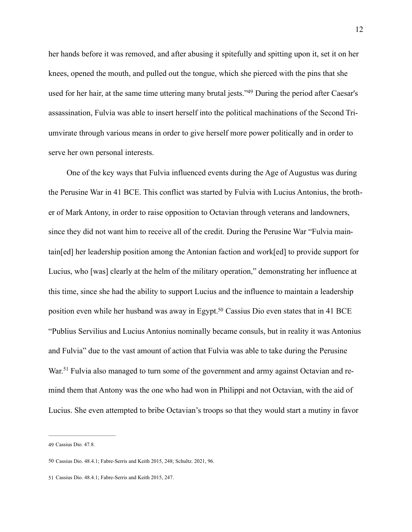<span id="page-15-3"></span>her hands before it was removed, and after abusing it spitefully and spitting upon it, set it on her knees, opened the mouth, and pulled out the tongue, which she pierced with the pins that she used for her hair, at the same time uttering many brutal jests.["](#page-15-0)<sup>[49](#page-15-0)</sup> During the period after Caesar's assassination, Fulvia was able to insert herself into the political machinations of the Second Triumvirate through various means in order to give herself more power politically and in order to serve her own personal interests.

One of the key ways that Fulvia influenced events during the Age of Augustus was during the Perusine War in 41 BCE. This conflict was started by Fulvia with Lucius Antonius, the brother of Mark Antony, in order to raise opposition to Octavian through veterans and landowners, since they did not want him to receive all of the credit. During the Perusine War "Fulvia maintain[ed] her leadership position among the Antonian faction and work[ed] to provide support for Lucius, who [was] clearly at the helm of the military operation," demonstrating her influence at this time, since she had the ability to support Lucius and the influence to maintain a leadership position even while her husband was away in Egypt[.](#page-15-1)<sup>[50](#page-15-1)</sup> Cassius Dio even states that in 41 BCE "Publius Servilius and Lucius Antonius nominally became consuls, but in reality it was Antonius and Fulvia" due to the vast amount of action that Fulvia was able to take during the Perusine War[.](#page-15-2)<sup>51</sup> Fulvia also managed to turn some of the government and army against Octavian and remind them that Antony was the one who had won in Philippi and not Octavian, with the aid of Lucius. She even attempted to bribe Octavian's troops so that they would start a mutiny in favor

<span id="page-15-5"></span><span id="page-15-4"></span><span id="page-15-0"></span>[<sup>49</sup>](#page-15-3) Cassius Dio*.* 47.8.

<span id="page-15-1"></span>[<sup>50</sup>](#page-15-4) Cassius Dio. 48.4.1; Fabre-Serris and Keith 2015, 248; Schultz. 2021, 96.

<span id="page-15-2"></span>[<sup>51</sup>](#page-15-5) Cassius Dio. 48.4.1; Fabre-Serris and Keith 2015, 247.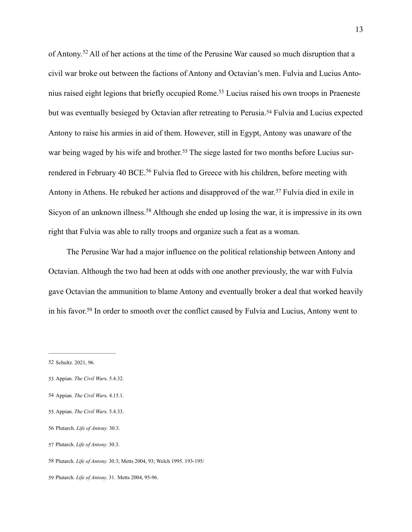<span id="page-16-10"></span><span id="page-16-9"></span><span id="page-16-8"></span>ofAntony.<sup>[52](#page-16-0)</sup> All of her actions at the time of the Perusine War caused so much disruption that a civil war broke out between the factions of Antony and Octavian's men. Fulvia and Lucius Anto-nius raised eight legions that briefly occupied Rome[.](#page-16-1)<sup>[53](#page-16-1)</sup> Lucius raised his own troops in Praeneste butwas eventually besieged by Octavian after retreating to Perusia.<sup>[54](#page-16-2)</sup> Fulvia and Lucius expected Antony to raise his armies in aid of them. However, still in Egypt, Antony was unaware of the warbeing waged by his wife and brother.<sup>55</sup> The siege lasted for two months before Lucius sur-renderedin February 40 BCE.<sup>[56](#page-16-4)</sup> Fulvia fled to Greece with his children, before meeting with Antonyin Athens. He rebuked her actions and disapproved of the war.<sup>[57](#page-16-5)</sup> Fulvia died in exile in Sicyonof an unknown illness.<sup>[58](#page-16-6)</sup> Although she ended up losing the war, it is impressive in its own right that Fulvia was able to rally troops and organize such a feat as a woman.

<span id="page-16-14"></span><span id="page-16-13"></span><span id="page-16-12"></span><span id="page-16-11"></span>The Perusine War had a major influence on the political relationship between Antony and Octavian. Although the two had been at odds with one another previously, the war with Fulvia gave Octavian the ammunition to blame Antony and eventually broker a deal that worked heavily inhis favor.<sup>[59](#page-16-7)</sup> In order to smooth over the conflict caused by Fulvia and Lucius, Antony went to

- <span id="page-16-1"></span>[53](#page-16-9) Appian. *The Civil War*s. 5.4.32.
- <span id="page-16-2"></span>[54](#page-16-10) Appian. *The Civil War*s. 4.15.1.
- <span id="page-16-3"></span>[55](#page-16-11) Appian. *The Civil War*s. 5.4.33.
- <span id="page-16-4"></span>[56](#page-16-12) Plutarch. *Life of Antony.* 30.3.
- <span id="page-16-5"></span>[57](#page-16-13) Plutarch. *Life of Antony.* 30.3.
- <span id="page-16-6"></span>[58](#page-16-14) Plutarch. *Life of Antony.* 30.3; Metts 2004, 93; Welch 1995. 193-195/
- <span id="page-16-7"></span>[59](#page-16-15) Plutarch. *Life of Antony.* 31. Metts 2004, 95-96.

<span id="page-16-15"></span><span id="page-16-0"></span>[<sup>52</sup>](#page-16-8) Schultz. 2021, 96.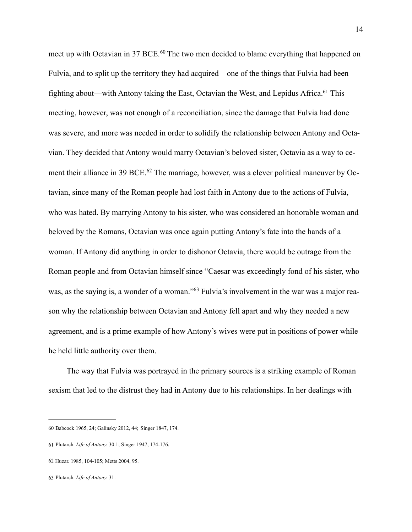<span id="page-17-6"></span><span id="page-17-5"></span><span id="page-17-4"></span>meetup with Octavian in 37 BCE.<sup>[60](#page-17-0)</sup> The two men decided to blame everything that happened on Fulvia, and to split up the territory they had acquired—one of the things that Fulvia had been fighting about—with Antony taking the East, Octavian the West, and Lepidus Africa[.](#page-17-1)<sup>[61](#page-17-1)</sup> This meeting, however, was not enough of a reconciliation, since the damage that Fulvia had done was severe, and more was needed in order to solidify the relationship between Antony and Octavian. They decided that Antony would marry Octavian's beloved sister, Octavia as a way to cementtheir alliance in 39 BCE.<sup>62</sup> The marriage, however, was a clever political maneuver by Octavian, since many of the Roman people had lost faith in Antony due to the actions of Fulvia, who was hated. By marrying Antony to his sister, who was considered an honorable woman and beloved by the Romans, Octavian was once again putting Antony's fate into the hands of a woman. If Antony did anything in order to dishonor Octavia, there would be outrage from the Roman people and from Octavian himself since "Caesar was exceedingly fond of his sister, who was,as the saying is, a wonder of a woman."<sup>63</sup> Fulvia's involvement in the war was a major reason why the relationship between Octavian and Antony fell apart and why they needed a new agreement, and is a prime example of how Antony's wives were put in positions of power while he held little authority over them.

<span id="page-17-7"></span>The way that Fulvia was portrayed in the primary sources is a striking example of Roman sexism that led to the distrust they had in Antony due to his relationships. In her dealings with

<span id="page-17-0"></span>[<sup>60</sup>](#page-17-4) Babcock 1965, 24; Galinsky 2012, 44; Singer 1847, 174.

<span id="page-17-1"></span>[<sup>61</sup>](#page-17-5) Plutarch. *Life of Antony.* 30.1; Singer 1947, 174-176.

<span id="page-17-2"></span>[<sup>62</sup>](#page-17-6) Huzar. 1985, 104-105; Metts 2004, 95.

<span id="page-17-3"></span>[<sup>63</sup>](#page-17-7) Plutarch. *Life of Antony.* 31.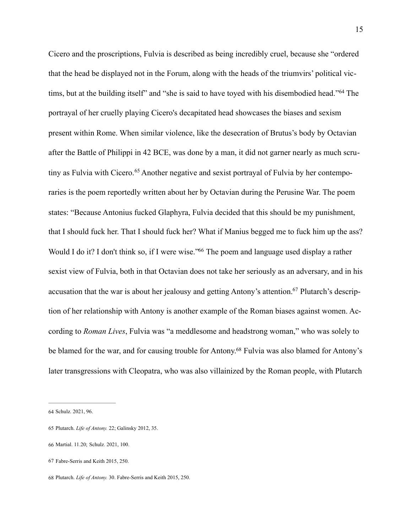<span id="page-18-6"></span><span id="page-18-5"></span>Cicero and the proscriptions, Fulvia is described as being incredibly cruel, because she "ordered that the head be displayed not in the Forum, along with the heads of the triumvirs' political vic-tims,but at the building itself" and "she is said to have toyed with his disembodied head."<sup>[64](#page-18-0)</sup> The portrayal of her cruelly playing Cicero's decapitated head showcases the biases and sexism present within Rome. When similar violence, like the desecration of Brutus's body by Octavian after the Battle of Philippi in 42 BCE, was done by a man, it did not garner nearly as much scrutinyas Fulvia with Cicero.<sup>65</sup> Another negative and sexist portrayal of Fulvia by her contemporaries is the poem reportedly written about her by Octavian during the Perusine War. The poem states: "Because Antonius fucked Glaphyra, Fulvia decided that this should be my punishment, that I should fuck her. That I should fuck her? What if Manius begged me to fuck him up the ass? Would I do it? I don't think so, if I were wise.["](#page-18-2)<sup>[66](#page-18-2)</sup> The poem and language used display a rather sexist view of Fulvia, both in that Octavian does not take her seriously as an adversary, and in his accusation that the war is about her jealousy and getting Antony's attention[.](#page-18-3)<sup>67</sup> Plutarch's description of her relationship with Antony is another example of the Roman biases against women. According to *Roman Lives*, Fulvia was "a meddlesome and headstrong woman," who was solely to be blamed for the war, and for causing trouble for Antony[.](#page-18-4)<sup>[68](#page-18-4)</sup> Fulvia was also blamed for Antony's later transgressions with Cleopatra, who was also villainized by the Roman people, with Plutarch

<span id="page-18-9"></span><span id="page-18-8"></span><span id="page-18-7"></span><span id="page-18-0"></span>[<sup>64</sup>](#page-18-5) Schulz. 2021, 96.

<span id="page-18-1"></span>[<sup>65</sup>](#page-18-6) Plutarch. *Life of Antony.* 22; Galinsky 2012, 35.

<span id="page-18-2"></span>[<sup>66</sup>](#page-18-7) Martial. 11.20; Schulz. 2021, 100.

<span id="page-18-3"></span>[<sup>67</sup>](#page-18-8) Fabre-Serris and Keith 2015, 250.

<span id="page-18-4"></span>[<sup>68</sup>](#page-18-9) Plutarch. *Life of Antony.* 30. Fabre-Serris and Keith 2015, 250.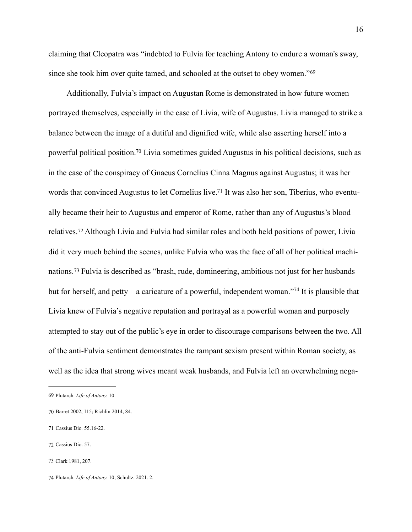claiming that Cleopatra was "indebted to Fulvia for teaching Antony to endure a woman's sway, since she took him over quite tamed, and schooled at the outset to obey women."[69](#page-19-0)

<span id="page-19-9"></span><span id="page-19-8"></span><span id="page-19-7"></span><span id="page-19-6"></span>Additionally, Fulvia's impact on Augustan Rome is demonstrated in how future women portrayed themselves, especially in the case of Livia, wife of Augustus. Livia managed to strike a balance between the image of a dutiful and dignified wife, while also asserting herself into a powerful political position[.](#page-19-1)<sup>[70](#page-19-1)</sup> Livia sometimes guided Augustus in his political decisions, such as in the case of the conspiracy of Gnaeus Cornelius Cinna Magnus against Augustus; it was her words that convinced Augustus to let Cornelius live[.71](#page-19-2) It was also her son, Tiberius, who eventually became their heir to Augustus and emperor of Rome, rather than any of Augustus's blood relatives.<sup>72</sup>Although Livia and Fulvia had similar roles and both held positions of power, Livia did it very much behind the scenes, unlike Fulvia who was the face of all of her political machi-nations.<sup>73</sup>Fulvia is described as "brash, rude, domineering, ambitious not just for her husbands butfor herself, and petty—a caricature of a powerful, independent woman."<sup>[74](#page-19-5)</sup> It is plausible that Livia knew of Fulvia's negative reputation and portrayal as a powerful woman and purposely attempted to stay out of the public's eye in order to discourage comparisons between the two. All of the anti-Fulvia sentiment demonstrates the rampant sexism present within Roman society, as well as the idea that strong wives meant weak husbands, and Fulvia left an overwhelming nega-

<span id="page-19-11"></span><span id="page-19-10"></span><span id="page-19-0"></span>[<sup>69</sup>](#page-19-6) Plutarch. *Life of Antony.* 10.

<span id="page-19-1"></span>[<sup>70</sup>](#page-19-7) Barret 2002, 115; Richlin 2014, 84.

<span id="page-19-2"></span>[<sup>71</sup>](#page-19-8) Cassius Dio*.* 55.16-22.

<span id="page-19-3"></span>[<sup>72</sup>](#page-19-9) Cassius Dio. 57.

<span id="page-19-4"></span>[<sup>73</sup>](#page-19-10) Clark 1981, 207.

<span id="page-19-5"></span>[<sup>74</sup>](#page-19-11) Plutarch. *Life of Antony.* 10; Schultz. 2021. 2.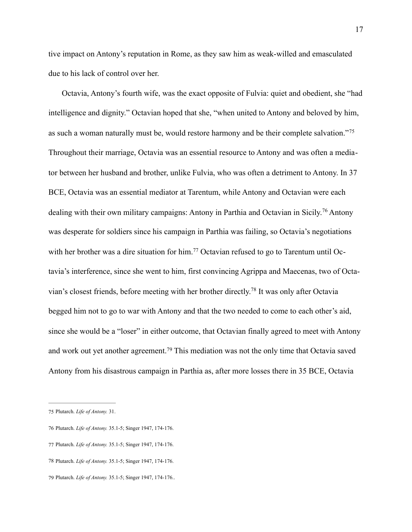tive impact on Antony's reputation in Rome, as they saw him as weak-willed and emasculated due to his lack of control over her.

<span id="page-20-6"></span><span id="page-20-5"></span>Octavia, Antony's fourth wife, was the exact opposite of Fulvia: quiet and obedient, she "had intelligence and dignity." Octavian hoped that she, "when united to Antony and beloved by him, as such a woman naturally must be, would restore harmony and be their complete salvation."[75](#page-20-0) Throughout their marriage, Octavia was an essential resource to Antony and was often a mediator between her husband and brother, unlike Fulvia, who was often a detriment to Antony. In 37 BCE, Octavia was an essential mediator at Tarentum, while Antony and Octavian were each dealingwith their own military campaigns: Antony in Parthia and Octavian in Sicily.<sup>[76](#page-20-1)</sup> Antony was desperate for soldiers since his campaign in Parthia was failing, so Octavia's negotiations withher brother was a dire situation for him.<sup>77</sup> Octavian refused to go to Tarentum until Octavia's interference, since she went to him, first convincing Agrippa and Maecenas, two of Octa-vian's closest friends, before meeting with her brother directly[.](#page-20-3)<sup>[78](#page-20-3)</sup> It was only after Octavia begged him not to go to war with Antony and that the two needed to come to each other's aid, since she would be a "loser" in either outcome, that Octavian finally agreed to meet with Antony andwork out yet another agreement.<sup>[79](#page-20-4)</sup> This mediation was not the only time that Octavia saved Antony from his disastrous campaign in Parthia as, after more losses there in 35 BCE, Octavia

<span id="page-20-9"></span><span id="page-20-8"></span><span id="page-20-7"></span><span id="page-20-0"></span>[<sup>75</sup>](#page-20-5) Plutarch. *Life of Antony.* 31.

<span id="page-20-1"></span>[<sup>76</sup>](#page-20-6) Plutarch. *Life of Antony.* 35.1-5; Singer 1947, 174-176.

<span id="page-20-2"></span>[<sup>77</sup>](#page-20-7) Plutarch. *Life of Antony.* 35.1-5; Singer 1947, 174-176.

<span id="page-20-3"></span>[<sup>78</sup>](#page-20-8) Plutarch. *Life of Antony.* 35.1-5; Singer 1947, 174-176.

<span id="page-20-4"></span>[<sup>79</sup>](#page-20-9) Plutarch. *Life of Antony.* 35.1-5; Singer 1947, 174-176..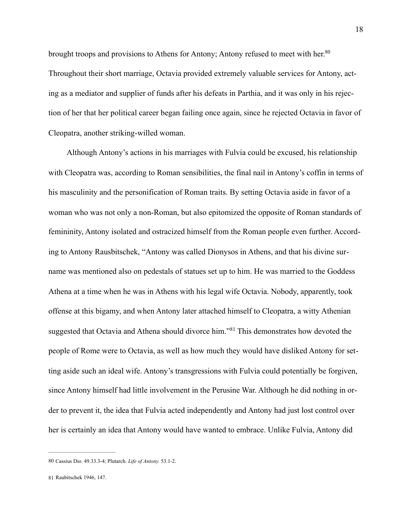<span id="page-21-2"></span>brought troops and provisions to Athens for Antony; Antony refused to meet with her.<sup>80</sup> Throughout their short marriage, Octavia provided extremely valuable services for Antony, acting as a mediator and supplier of funds after his defeats in Parthia, and it was only in his rejection of her that her political career began failing once again, since he rejected Octavia in favor of Cleopatra, another striking-willed woman.

Although Antony's actions in his marriages with Fulvia could be excused, his relationship with Cleopatra was, according to Roman sensibilities, the final nail in Antony's coffin in terms of his masculinity and the personification of Roman traits. By setting Octavia aside in favor of a woman who was not only a non-Roman, but also epitomized the opposite of Roman standards of femininity, Antony isolated and ostracized himself from the Roman people even further. According to Antony Rausbitschek, "Antony was called Dionysos in Athens, and that his divine surname was mentioned also on pedestals of statues set up to him. He was married to the Goddess Athena at a time when he was in Athens with his legal wife Octavia. Nobody, apparently, took offense at this bigamy, and when Antony later attached himself to Cleopatra, a witty Athenian suggestedthat Octavia and Athena should divorce him."<sup>[81](#page-21-1)</sup> This demonstrates how devoted the people of Rome were to Octavia, as well as how much they would have disliked Antony for setting aside such an ideal wife. Antony's transgressions with Fulvia could potentially be forgiven, since Antony himself had little involvement in the Perusine War. Although he did nothing in order to prevent it, the idea that Fulvia acted independently and Antony had just lost control over her is certainly an idea that Antony would have wanted to embrace. Unlike Fulvia, Antony did

<span id="page-21-3"></span><span id="page-21-0"></span>[<sup>80</sup>](#page-21-2) Cassius Dio*.* 49.33.3-4; Plutarch. *Life of Antony.* 53.1-2.

<span id="page-21-1"></span>[<sup>81</sup>](#page-21-3) Raubitschek 1946, 147.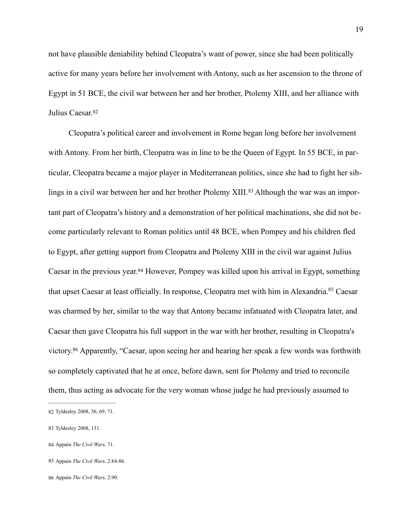not have plausible deniability behind Cleopatra's want of power, since she had been politically active for many years before her involvement with Antony, such as her ascension to the throne of Egypt in 51 BCE, the civil war between her and her brother, Ptolemy XIII, and her alliance with Julius Caesar.[82](#page-22-0)

<span id="page-22-6"></span><span id="page-22-5"></span> Cleopatra's political career and involvement in Rome began long before her involvement with Antony. From her birth, Cleopatra was in line to be the Queen of Egypt. In 55 BCE, in particular, Cleopatra became a major player in Mediterranean politics, since she had to fight her siblingsin a civil war between her and her brother Ptolemy XIII.<sup>83</sup> Although the war was an important part of Cleopatra's history and a demonstration of her political machinations, she did not become particularly relevant to Roman politics until 48 BCE, when Pompey and his children fled to Egypt, after getting support from Cleopatra and Ptolemy XIII in the civil war against Julius Caesarin the previous year.<sup>[84](#page-22-2)</sup> However, Pompey was killed upon his arrival in Egypt, something that upset Caesar at least officially[.](#page-22-3) In response, Cleopatra met with him in Alexandria.<sup>[85](#page-22-3)</sup> Caesar was charmed by her, similar to the way that Antony became infatuated with Cleopatra later, and Caesar then gave Cleopatra his full support in the war with her brother, resulting in Cleopatra's victory[.](#page-22-4)<sup>[86](#page-22-4)</sup> Apparently, "Caesar, upon seeing her and hearing her speak a few words was forthwith so completely captivated that he at once, before dawn, sent for Ptolemy and tried to reconcile them, thus acting as advocate for the very woman whose judge he had previously assumed to

<span id="page-22-9"></span><span id="page-22-8"></span><span id="page-22-7"></span><span id="page-22-0"></span>[<sup>82</sup>](#page-22-5) Tyldesley 2008, 56, 69, 71.

<span id="page-22-1"></span>[<sup>83</sup>](#page-22-6) Tyldesley 2008, 131.

<span id="page-22-2"></span>[<sup>84</sup>](#page-22-7) Appain *The Civil War*s. 71.

<span id="page-22-3"></span>[<sup>85</sup>](#page-22-8) Appain *The Civil War*s. 2.84-86.

<span id="page-22-4"></span>[<sup>86</sup>](#page-22-9) Appain *The Civil War*s. 2.90.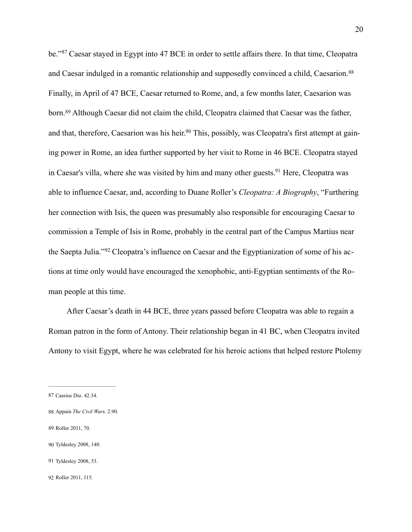<span id="page-23-10"></span><span id="page-23-9"></span><span id="page-23-8"></span><span id="page-23-7"></span><span id="page-23-6"></span>be."<sup>87</sup>Caesar stayed in Egypt into 47 BCE in order to settle affairs there. In that time, Cleopatra and Caesar indulged in a romantic relationship and supposedly convinced a child, Caesarion.<sup>[88](#page-23-1)</sup> Finally, in April of 47 BCE, Caesar returned to Rome, and, a few months later, Caesarion was born.<sup>89</sup>Although Caesar did not claim the child, Cleopatra claimed that Caesar was the father, and that, therefore, Caesarion was his heir[.](#page-23-3)<sup>90</sup> This, possibly, was Cleopatra's first attempt at gaining power in Rome, an idea further supported by her visit to Rome in 46 BCE. Cleopatra stayed in Caesar's villa, where she was visited by him and many other guests[.](#page-23-4)<sup>[91](#page-23-4)</sup> Here, Cleopatra was able to influence Caesar, and, according to Duane Roller's *Cleopatra: A Biography*, "Furthering her connection with Isis, the queen was presumably also responsible for encouraging Caesar to commission a Temple of Isis in Rome, probably in the central part of the Campus Martius near theSaepta Julia."<sup>92</sup> Cleopatra's influence on Caesar and the Egyptianization of some of his actions at time only would have encouraged the xenophobic, anti-Egyptian sentiments of the Roman people at this time.

<span id="page-23-11"></span>After Caesar's death in 44 BCE, three years passed before Cleopatra was able to regain a Roman patron in the form of Antony. Their relationship began in 41 BC, when Cleopatra invited Antony to visit Egypt, where he was celebrated for his heroic actions that helped restore Ptolemy

- <span id="page-23-2"></span>[89](#page-23-8) Roller 2011, 70.
- <span id="page-23-3"></span>[90](#page-23-9) Tyldesley 2008, 140.
- <span id="page-23-4"></span>[91](#page-23-10) Tyldesley 2008, 53.

<span id="page-23-0"></span>[<sup>87</sup>](#page-23-6) Cassius Dio. 42.34.

<span id="page-23-1"></span>[<sup>88</sup>](#page-23-7) Appain *The Civil War*s. 2.90.

<span id="page-23-5"></span>[<sup>92</sup>](#page-23-11) Roller 2011, 115.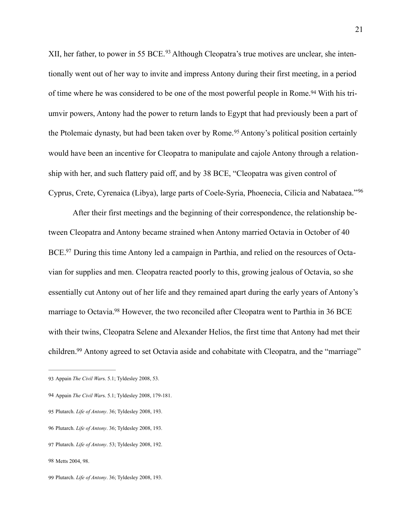<span id="page-24-8"></span><span id="page-24-7"></span>XII,her father, to power in 55 BCE.<sup>93</sup> Although Cleopatra's true motives are unclear, she intentionally went out of her way to invite and impress Antony during their first meeting, in a period of time where he was considered to be one of the most powerful people in Rome[.](#page-24-1)<sup>94</sup> With his triumvir powers, Antony had the power to return lands to Egypt that had previously been a part of thePtolemaic dynasty, but had been taken over by Rome.<sup>[95](#page-24-2)</sup> Antony's political position certainly would have been an incentive for Cleopatra to manipulate and cajole Antony through a relationship with her, and such flattery paid off, and by 38 BCE, "Cleopatra was given control of Cyprus, Crete, Cyrenaica (Libya), large parts of Coele-Syria, Phoenecia, Cilicia and Nabataea."[96](#page-24-3)

<span id="page-24-11"></span><span id="page-24-10"></span><span id="page-24-9"></span>After their first meetings and the beginning of their correspondence, the relationship between Cleopatra and Antony became strained when Antony married Octavia in October of 40 BCE[.](#page-24-4)<sup>97</sup> During this time Antony led a campaign in Parthia, and relied on the resources of Octavian for supplies and men. Cleopatra reacted poorly to this, growing jealous of Octavia, so she essentially cut Antony out of her life and they remained apart during the early years of Antony's marriage to Octavia[.](#page-24-5)<sup>[98](#page-24-5)</sup> However, the two reconciled after Cleopatra went to Parthia in 36 BCE with their twins, Cleopatra Selene and Alexander Helios, the first time that Antony had met their children[.](#page-24-6)<sup>[99](#page-24-6)</sup> Antony agreed to set Octavia aside and cohabitate with Cleopatra, and the "marriage"

<span id="page-24-13"></span><span id="page-24-12"></span><span id="page-24-0"></span>[<sup>93</sup>](#page-24-7) Appain *The Civil War*s. 5.1; Tyldesley 2008, 53.

<span id="page-24-1"></span>[<sup>94</sup>](#page-24-8) Appain *The Civil War*s. 5.1; Tyldesley 2008, 179-181.

<span id="page-24-2"></span>[<sup>95</sup>](#page-24-9) Plutarch. *Life of Antony*. 36; Tyldesley 2008, 193.

<span id="page-24-3"></span>[<sup>96</sup>](#page-24-10) Plutarch. *Life of Antony*. 36; Tyldesley 2008, 193.

<span id="page-24-4"></span>[<sup>97</sup>](#page-24-11) Plutarch. *Life of Antony*. 53; Tyldesley 2008, 192.

<span id="page-24-5"></span>[<sup>98</sup>](#page-24-12) Metts 2004, 98.

<span id="page-24-6"></span>[<sup>99</sup>](#page-24-13) Plutarch. *Life of Antony*. 36; Tyldesley 2008, 193.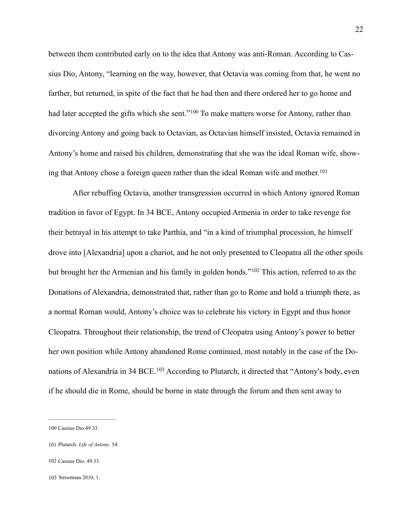<span id="page-25-4"></span>between them contributed early on to the idea that Antony was anti-Roman. According to Cassius Dio, Antony, "learning on the way, however, that Octavia was coming from that, he went no farther, but returned, in spite of the fact that he had then and there ordered her to go home and hadlater accepted the gifts which she sent."<sup>[100](#page-25-0)</sup> To make matters worse for Antony, rather than divorcing Antony and going back to Octavian, as Octavian himself insisted, Octavia remained in Antony's home and raised his children, demonstrating that she was the ideal Roman wife, showing that Antony chose a foreign queen rather than the ideal Roman wife and mother. [101](#page-25-1)

<span id="page-25-6"></span><span id="page-25-5"></span>After rebuffing Octavia, another transgression occurred in which Antony ignored Roman tradition in favor of Egypt. In 34 BCE, Antony occupied Armenia in order to take revenge for their betrayal in his attempt to take Parthia, and "in a kind of triumphal procession, he himself drove into [Alexandria] upon a chariot, and he not only presented to Cleopatra all the other spoils butbrought her the Armenian and his family in golden bonds."<sup>[102](#page-25-2)</sup> This action, referred to as the Donations of Alexandria, demonstrated that, rather than go to Rome and hold a triumph there, as a normal Roman would, Antony's choice was to celebrate his victory in Egypt and thus honor Cleopatra. Throughout their relationship, the trend of Cleopatra using Antony's power to better her own position while Antony abandoned Rome continued, most notably in the case of the Do-nations of Alexandria in 34 BCE.<sup>[103](#page-25-3)</sup> According to Plutarch, it directed that "Antony's body, even if he should die in Rome, should be borne in state through the forum and then sent away to

- <span id="page-25-2"></span>[102](#page-25-6) Cassius Dio. 49.33.
- <span id="page-25-3"></span>[103](#page-25-7) Strootman 2010, 1.

<span id="page-25-7"></span><span id="page-25-0"></span>[<sup>100</sup>](#page-25-4) Cassius Dio 49.33.

<span id="page-25-1"></span>[<sup>101</sup>](#page-25-5) Plutarch. *Life of Antony*. 54.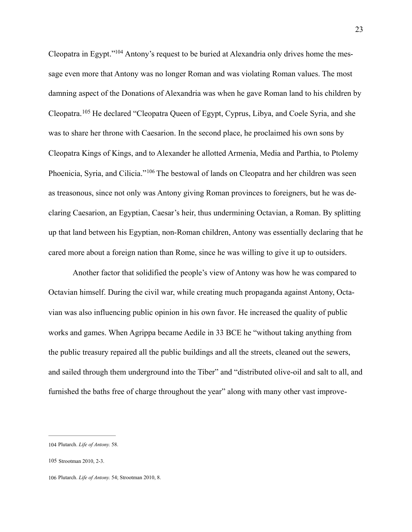<span id="page-26-4"></span><span id="page-26-3"></span>Cleopatra in Egypt.["](#page-26-0)<sup>104</sup> Antony's request to be buried at Alexandria only drives home the message even more that Antony was no longer Roman and was violating Roman values. The most damning aspect of the Donations of Alexandria was when he gave Roman land to his children by Cleopatra. <sup>[105](#page-26-1)</sup> He declared "Cleopatra Queen of Egypt, Cyprus, Libya, and Coele Syria, and she was to share her throne with Caesarion. In the second place, he proclaimed his own sons by Cleopatra Kings of Kings, and to Alexander he allotted Armenia, Media and Parthia, to Ptolemy Phoenicia,Syria, and Cilicia."<sup>[106](#page-26-2)</sup> The bestowal of lands on Cleopatra and her children was seen as treasonous, since not only was Antony giving Roman provinces to foreigners, but he was declaring Caesarion, an Egyptian, Caesar's heir, thus undermining Octavian, a Roman. By splitting up that land between his Egyptian, non-Roman children, Antony was essentially declaring that he cared more about a foreign nation than Rome, since he was willing to give it up to outsiders.

<span id="page-26-5"></span>Another factor that solidified the people's view of Antony was how he was compared to Octavian himself. During the civil war, while creating much propaganda against Antony, Octavian was also influencing public opinion in his own favor. He increased the quality of public works and games. When Agrippa became Aedile in 33 BCE he "without taking anything from the public treasury repaired all the public buildings and all the streets, cleaned out the sewers, and sailed through them underground into the Tiber" and "distributed olive-oil and salt to all, and furnished the baths free of charge throughout the year" along with many other vast improve-

<span id="page-26-0"></span>[<sup>104</sup>](#page-26-3) Plutarch. *Life of Antony.* 58.

<span id="page-26-1"></span>[<sup>105</sup>](#page-26-4) Strootman 2010, 2-3.

<span id="page-26-2"></span>[<sup>106</sup>](#page-26-5) Plutarch. *Life of Antony.* 54; Strootman 2010, 8.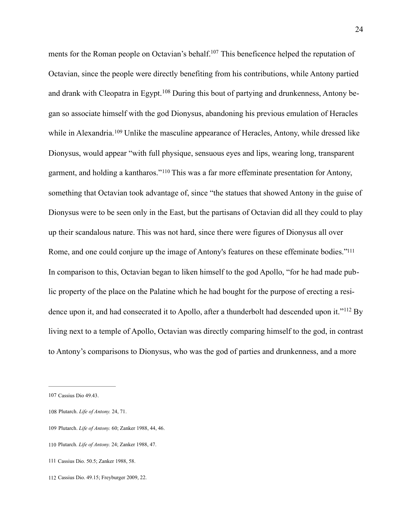<span id="page-27-9"></span><span id="page-27-8"></span><span id="page-27-7"></span><span id="page-27-6"></span>ments for the Roman people on Octavian's behalf[.](#page-27-0)<sup>[107](#page-27-0)</sup> This beneficence helped the reputation of Octavian, since the people were directly benefiting from his contributions, while Antony partied and drank with Cleopatra in Egypt.<sup>108</sup> During this bout of partying and drunkenness, Antony began so associate himself with the god Dionysus, abandoning his previous emulation of Heracles whilein Alexandria.<sup>[109](#page-27-2)</sup> Unlike the masculine appearance of Heracles, Antony, while dressed like Dionysus, would appear "with full physique, sensuous eyes and lips, wearing long, transparent garment, and holding a kantharos."<sup>[110](#page-27-3)</sup> This was a far more effeminate presentation for Antony, something that Octavian took advantage of, since "the statues that showed Antony in the guise of Dionysus were to be seen only in the East, but the partisans of Octavian did all they could to play up their scandalous nature. This was not hard, since there were figures of Dionysus all over Rome, and one could conjure up the image of Antony's features on these effeminate bodies.["111](#page-27-4) In comparison to this, Octavian began to liken himself to the god Apollo, "for he had made public property of the place on the Palatine which he had bought for the purpose of erecting a residenceupon it, and had consecrated it to Apollo, after a thunderbolt had descended upon it." $112$  By living next to a temple of Apollo, Octavian was directly comparing himself to the god, in contrast to Antony's comparisons to Dionysus, who was the god of parties and drunkenness, and a more

<span id="page-27-11"></span><span id="page-27-10"></span><span id="page-27-0"></span>[<sup>107</sup>](#page-27-6) Cassius Dio 49.43.

<span id="page-27-1"></span>[<sup>108</sup>](#page-27-7) Plutarch. *Life of Antony.* 24, 71.

<span id="page-27-2"></span>[<sup>109</sup>](#page-27-8) Plutarch. *Life of Antony.* 60; Zanker 1988, 44, 46.

<span id="page-27-3"></span>[<sup>110</sup>](#page-27-9) Plutarch. *Life of Antony.* 24; Zanker 1988, 47.

<span id="page-27-4"></span>[<sup>111</sup>](#page-27-10) Cassius Dio. 50.5; Zanker 1988, 58.

<span id="page-27-5"></span>[<sup>112</sup>](#page-27-11) Cassius Dio. 49.15; Freyburger 2009, 22.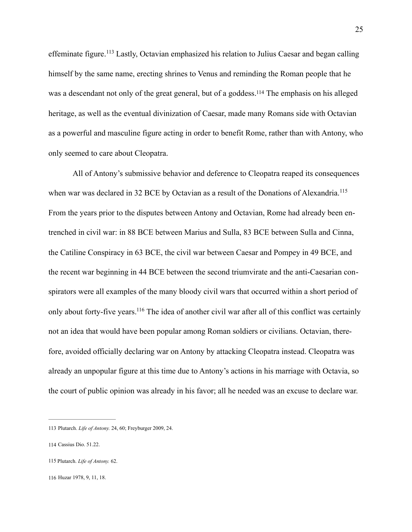<span id="page-28-5"></span><span id="page-28-4"></span>effeminatefigure.<sup>[113](#page-28-0)</sup> Lastly, Octavian emphasized his relation to Julius Caesar and began calling himself by the same name, erecting shrines to Venus and reminding the Roman people that he was a descendant not only of the great general, but of a goddess[.](#page-28-1)<sup>[114](#page-28-1)</sup> The emphasis on his alleged heritage, as well as the eventual divinization of Caesar, made many Romans side with Octavian as a powerful and masculine figure acting in order to benefit Rome, rather than with Antony, who only seemed to care about Cleopatra.

<span id="page-28-6"></span>All of Antony's submissive behavior and deference to Cleopatra reaped its consequences when war was declared in 32 BCE by Octavian as a result of the Donations of Alexandria.<sup>[115](#page-28-2)</sup> From the years prior to the disputes between Antony and Octavian, Rome had already been entrenched in civil war: in 88 BCE between Marius and Sulla, 83 BCE between Sulla and Cinna, the Catiline Conspiracy in 63 BCE, the civil war between Caesar and Pompey in 49 BCE, and the recent war beginning in 44 BCE between the second triumvirate and the anti-Caesarian conspirators were all examples of the many bloody civil wars that occurred within a short period of only about forty-five years.<sup>[116](#page-28-3)</sup> The idea of another civil war after all of this conflict was certainly not an idea that would have been popular among Roman soldiers or civilians. Octavian, therefore, avoided officially declaring war on Antony by attacking Cleopatra instead. Cleopatra was already an unpopular figure at this time due to Antony's actions in his marriage with Octavia, so the court of public opinion was already in his favor; all he needed was an excuse to declare war.

<span id="page-28-3"></span>[116](#page-28-7) Huzar 1978, 9, 11, 18.

<span id="page-28-7"></span><span id="page-28-0"></span>[<sup>113</sup>](#page-28-4) Plutarch. *Life of Antony.* 24, 60; Freyburger 2009, 24.

<span id="page-28-1"></span>[<sup>114</sup>](#page-28-5) Cassius Dio. 51.22.

<span id="page-28-2"></span>[<sup>115</sup>](#page-28-6) Plutarch. *Life of Antony.* 62.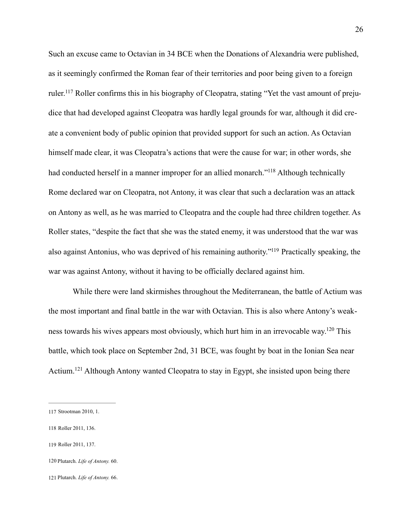<span id="page-29-5"></span>Such an excuse came to Octavian in 34 BCE when the Donations of Alexandria were published, as it seemingly confirmed the Roman fear of their territories and poor being given to a foreign ruler.<sup>117</sup>Roller confirms this in his biography of Cleopatra, stating "Yet the vast amount of prejudice that had developed against Cleopatra was hardly legal grounds for war, although it did create a convenient body of public opinion that provided support for such an action. As Octavian himself made clear, it was Cleopatra's actions that were the cause for war; in other words, she had conducted herself in a manner improper for an allied monarch."<sup>[118](#page-29-1)</sup> Although technically Rome declared war on Cleopatra, not Antony, it was clear that such a declaration was an attack on Antony as well, as he was married to Cleopatra and the couple had three children together. As Roller states, "despite the fact that she was the stated enemy, it was understood that the war was also against Antonius, who was deprived of his remaining authority."<sup>[119](#page-29-2)</sup> Practically speaking, the war was against Antony, without it having to be officially declared against him.

<span id="page-29-8"></span><span id="page-29-7"></span><span id="page-29-6"></span>While there were land skirmishes throughout the Mediterranean, the battle of Actium was the most important and final battle in the war with Octavian. This is also where Antony's weak-ness towards his wives appears most obviously, which hurt him in an irrevocable way[.](#page-29-3)<sup>[120](#page-29-3)</sup> This battle, which took place on September 2nd, 31 BCE, was fought by boat in the Ionian Sea near Actium.<sup>121</sup>Although Antony wanted Cleopatra to stay in Egypt, she insisted upon being there

<span id="page-29-9"></span><span id="page-29-0"></span>[<sup>117</sup>](#page-29-5) Strootman 2010, 1.

<span id="page-29-1"></span>[<sup>118</sup>](#page-29-6) Roller 2011, 136.

<span id="page-29-2"></span>[<sup>119</sup>](#page-29-7) Roller 2011, 137.

<span id="page-29-3"></span>[<sup>120</sup>](#page-29-8) Plutarch. *Life of Antony.* 60.

<span id="page-29-4"></span>[<sup>121</sup>](#page-29-9) Plutarch. *Life of Antony.* 66.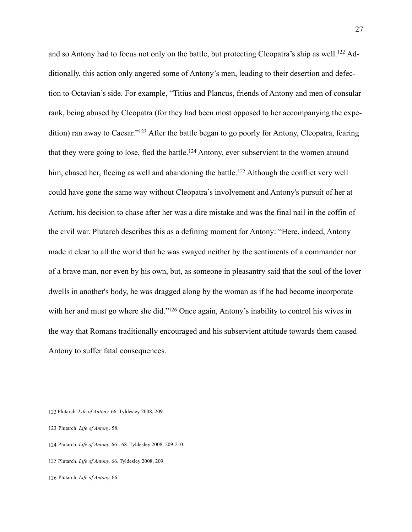<span id="page-30-8"></span><span id="page-30-7"></span><span id="page-30-6"></span><span id="page-30-5"></span>and so Antony had to focus not only on the battle, but protecting Cleopatra's ship as well[.](#page-30-0)<sup>122</sup> Additionally, this action only angered some of Antony's men, leading to their desertion and defection to Octavian's side. For example, "Titius and Plancus, friends of Antony and men of consular rank, being abused by Cleopatra (for they had been most opposed to her accompanying the expe-dition) ran away to Caesar.["](#page-30-1) $^{123}$  $^{123}$  $^{123}$  After the battle began to go poorly for Antony, Cleopatra, fearing thatthey were going to lose, fled the battle.<sup>[124](#page-30-2)</sup> Antony, ever subservient to the women around him,chased her, fleeing as well and abandoning the battle.<sup>[125](#page-30-3)</sup> Although the conflict very well could have gone the same way without Cleopatra's involvement and Antony's pursuit of her at Actium, his decision to chase after her was a dire mistake and was the final nail in the coffin of the civil war. Plutarch describes this as a defining moment for Antony: "Here, indeed, Antony made it clear to all the world that he was swayed neither by the sentiments of a commander nor of a brave man, nor even by his own, but, as someone in pleasantry said that the soul of the lover dwells in another's body, he was dragged along by the woman as if he had become incorporate with her and must go where she did.["](#page-30-4)<sup>[126](#page-30-4)</sup> Once again, Antony's inability to control his wives in the way that Romans traditionally encouraged and his subservient attitude towards them caused Antony to suffer fatal consequences.

<span id="page-30-4"></span>[126](#page-30-9) Plutarch. *Life of Antony.* 66.

<span id="page-30-9"></span><span id="page-30-0"></span>[<sup>122</sup>](#page-30-5) Plutarch. *Life of Antony.* 66. Tyldesley 2008, 209.

<span id="page-30-1"></span>[<sup>123</sup>](#page-30-6) Plutarch. *Life of Antony.* 58.

<span id="page-30-2"></span>[<sup>124</sup>](#page-30-7) Plutarch. *Life of Antony.* 66 - 68. Tyldesley 2008, 209-210.

<span id="page-30-3"></span>[<sup>125</sup>](#page-30-8) Plutarch. *Life of Antony.* 66. Tyldesley 2008, 209.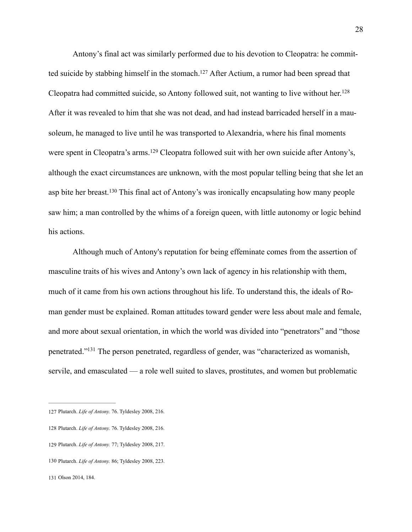<span id="page-31-6"></span><span id="page-31-5"></span>Antony's final act was similarly performed due to his devotion to Cleopatra: he commit-ted suicide by stabbing himself in the stomach[.](#page-31-0)<sup>[127](#page-31-0)</sup> After Actium, a rumor had been spread that Cleopatra had committed suicide, so Antony followed suit, not wanting to live without her.<sup>[128](#page-31-1)</sup> After it was revealed to him that she was not dead, and had instead barricaded herself in a mausoleum, he managed to live until he was transported to Alexandria, where his final moments werespent in Cleopatra's arms.<sup>[129](#page-31-2)</sup> Cleopatra followed suit with her own suicide after Antony's, although the exact circumstances are unknown, with the most popular telling being that she let an aspbite her breast.<sup>[130](#page-31-3)</sup> This final act of Antony's was ironically encapsulating how many people saw him; a man controlled by the whims of a foreign queen, with little autonomy or logic behind his actions.

<span id="page-31-8"></span><span id="page-31-7"></span> Although much of Antony's reputation for being effeminate comes from the assertion of masculine traits of his wives and Antony's own lack of agency in his relationship with them, much of it came from his own actions throughout his life. To understand this, the ideals of Roman gender must be explained. Roman attitudes toward gender were less about male and female, and more about sexual orientation, in which the world was divided into "penetrators" and "those penetrated.["](#page-31-4)<sup>[131](#page-31-4)</sup> The person penetrated, regardless of gender, was "characterized as womanish, servile, and emasculated — a role well suited to slaves, prostitutes, and women but problematic

<span id="page-31-9"></span><span id="page-31-0"></span>[<sup>127</sup>](#page-31-5) Plutarch. *Life of Antony.* 76. Tyldesley 2008, 216.

<span id="page-31-1"></span>[<sup>128</sup>](#page-31-6) Plutarch. *Life of Antony.* 76. Tyldesley 2008, 216.

<span id="page-31-2"></span>[<sup>129</sup>](#page-31-7) Plutarch. *Life of Antony.* 77; Tyldesley 2008, 217.

<span id="page-31-3"></span>[<sup>130</sup>](#page-31-8) Plutarch. *Life of Antony.* 86; Tyldesley 2008, 223.

<span id="page-31-4"></span>[<sup>131</sup>](#page-31-9) Olson 2014, 184.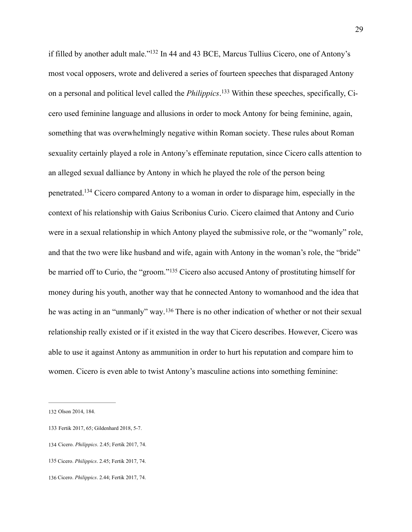<span id="page-32-7"></span><span id="page-32-6"></span><span id="page-32-5"></span>if filled by another adult male.["](#page-32-0)<sup>[132](#page-32-0)</sup> In 44 and 43 BCE, Marcus Tullius Cicero, one of Antony's most vocal opposers, wrote and delivered a series of fourteen speeches that disparaged Antony on a personal and political level called the *Philippics*.<sup>133</sup> Within these speeches, specifically, Cicero used feminine language and allusions in order to mock Antony for being feminine, again, something that was overwhelmingly negative within Roman society. These rules about Roman sexuality certainly played a role in Antony's effeminate reputation, since Cicero calls attention to an alleged sexual dalliance by Antony in which he played the role of the person being penetrated.<sup>[134](#page-32-2)</sup> Cicero compared Antony to a woman in order to disparage him, especially in the context of his relationship with Gaius Scribonius Curio. Cicero claimed that Antony and Curio were in a sexual relationship in which Antony played the submissive role, or the "womanly" role, and that the two were like husband and wife, again with Antony in the woman's role, the "bride" bemarried off to Curio, the "groom."<sup>[135](#page-32-3)</sup> Cicero also accused Antony of prostituting himself for money during his youth, another way that he connected Antony to womanhood and the idea that hewas acting in an "unmanly" way.<sup>[136](#page-32-4)</sup> There is no other indication of whether or not their sexual relationship really existed or if it existed in the way that Cicero describes. However, Cicero was able to use it against Antony as ammunition in order to hurt his reputation and compare him to women. Cicero is even able to twist Antony's masculine actions into something feminine:

<span id="page-32-9"></span><span id="page-32-8"></span><span id="page-32-0"></span>[<sup>132</sup>](#page-32-5) Olson 2014, 184.

<span id="page-32-1"></span>[<sup>133</sup>](#page-32-6) Fertik 2017, 65; Gildenhard 2018, 5-7.

<span id="page-32-2"></span>[<sup>134</sup>](#page-32-7) Cicero. *Philippics*. 2.45; Fertik 2017, 74.

<span id="page-32-3"></span>[<sup>135</sup>](#page-32-8) Cicero. *Philippics*. 2.45; Fertik 2017, 74.

<span id="page-32-4"></span>[<sup>136</sup>](#page-32-9) Cicero. *Philippics*. 2.44; Fertik 2017, 74.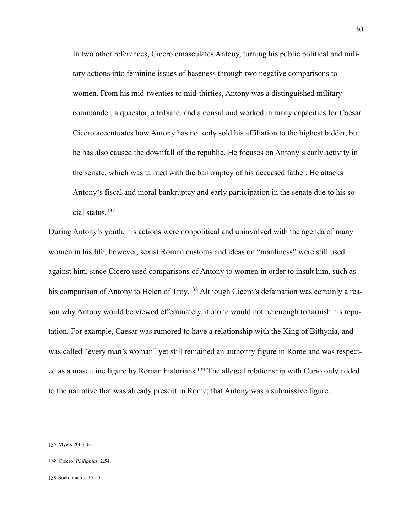In two other references, Cicero emasculates Antony, turning his public political and military actions into feminine issues of baseness through two negative comparisons to women. From his mid-twenties to mid-thirties, Antony was a distinguished military commander, a quaestor, a tribune, and a consul and worked in many capacities for Caesar. Cicero accentuates how Antony has not only sold his affiliation to the highest bidder, but he has also caused the downfall of the republic. He focuses on Antony's early activity in the senate, which was tainted with the bankruptcy of his deceased father. He attacks Antony's fiscal and moral bankruptcy and early participation in the senate due to his social status. [137](#page-33-0)

<span id="page-33-4"></span><span id="page-33-3"></span>During Antony's youth, his actions were nonpolitical and uninvolved with the agenda of many women in his life, however, sexist Roman customs and ideas on "manliness" were still used against him, since Cicero used comparisons of Antony to women in order to insult him, such as his comparison of Antony to Helen of Troy.<sup>138</sup> Although Cicero's defamation was certainly a reason why Antony would be viewed effeminately, it alone would not be enough to tarnish his reputation. For example, Caesar was rumored to have a relationship with the King of Bithynia, and was called "every man's woman" yet still remained an authority figure in Rome and was respect-ed as a masculine figure by Roman historians[.](#page-33-2)<sup>[139](#page-33-2)</sup> The alleged relationship with Curio only added to the narrative that was already present in Rome; that Antony was a submissive figure.

<span id="page-33-5"></span><span id="page-33-0"></span>[<sup>137</sup>](#page-33-3) Myers 2003, 6.

<span id="page-33-1"></span>[<sup>138</sup>](#page-33-4) Cicero. *Philippics*. 2.54.

<span id="page-33-2"></span>[<sup>139</sup>](#page-33-5) Suetonius ii., 45-53.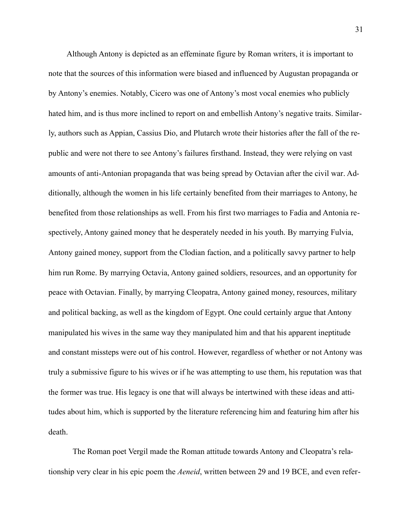Although Antony is depicted as an effeminate figure by Roman writers, it is important to note that the sources of this information were biased and influenced by Augustan propaganda or by Antony's enemies. Notably, Cicero was one of Antony's most vocal enemies who publicly hated him, and is thus more inclined to report on and embellish Antony's negative traits. Similarly, authors such as Appian, Cassius Dio, and Plutarch wrote their histories after the fall of the republic and were not there to see Antony's failures firsthand. Instead, they were relying on vast amounts of anti-Antonian propaganda that was being spread by Octavian after the civil war. Additionally, although the women in his life certainly benefited from their marriages to Antony, he benefited from those relationships as well. From his first two marriages to Fadia and Antonia respectively, Antony gained money that he desperately needed in his youth. By marrying Fulvia, Antony gained money, support from the Clodian faction, and a politically savvy partner to help him run Rome. By marrying Octavia, Antony gained soldiers, resources, and an opportunity for peace with Octavian. Finally, by marrying Cleopatra, Antony gained money, resources, military and political backing, as well as the kingdom of Egypt. One could certainly argue that Antony manipulated his wives in the same way they manipulated him and that his apparent ineptitude and constant missteps were out of his control. However, regardless of whether or not Antony was truly a submissive figure to his wives or if he was attempting to use them, his reputation was that the former was true. His legacy is one that will always be intertwined with these ideas and attitudes about him, which is supported by the literature referencing him and featuring him after his death.

 The Roman poet Vergil made the Roman attitude towards Antony and Cleopatra's relationship very clear in his epic poem the *Aeneid*, written between 29 and 19 BCE, and even refer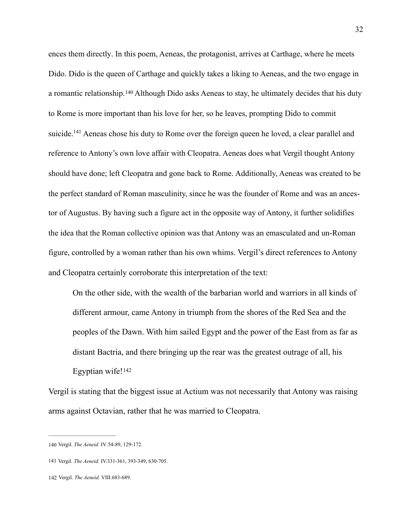<span id="page-35-4"></span><span id="page-35-3"></span>ences them directly. In this poem, Aeneas, the protagonist, arrives at Carthage, where he meets Dido. Dido is the queen of Carthage and quickly takes a liking to Aeneas, and the two engage in aromantic relationship.<sup>[140](#page-35-0)</sup> Although Dido asks Aeneas to stay, he ultimately decides that his duty to Rome is more important than his love for her, so he leaves, prompting Dido to commit suicide[.](#page-35-1) <sup>[141](#page-35-1)</sup> Aeneas chose his duty to Rome over the foreign queen he loved, a clear parallel and reference to Antony's own love affair with Cleopatra. Aeneas does what Vergil thought Antony should have done; left Cleopatra and gone back to Rome. Additionally, Aeneas was created to be the perfect standard of Roman masculinity, since he was the founder of Rome and was an ancestor of Augustus. By having such a figure act in the opposite way of Antony, it further solidifies the idea that the Roman collective opinion was that Antony was an emasculated and un-Roman figure, controlled by a woman rather than his own whims. Vergil's direct references to Antony and Cleopatra certainly corroborate this interpretation of the text:

On the other side, with the wealth of the barbarian world and warriors in all kinds of different armour, came Antony in triumph from the shores of the Red Sea and the peoples of the Dawn. With him sailed Egypt and the power of the East from as far as distant Bactria, and there bringing up the rear was the greatest outrage of all, his Egyptian wife![142](#page-35-2)

<span id="page-35-5"></span>Vergil is stating that the biggest issue at Actium was not necessarily that Antony was raising arms against Octavian, rather that he was married to Cleopatra.

<span id="page-35-0"></span>[<sup>140</sup>](#page-35-3) Vergil. *The Aeneid.* IV*.*54-89, 129-172.

<span id="page-35-1"></span>[<sup>141</sup>](#page-35-4) Vergil. *The Aeneid.* IV.331-361, 393-349, 630-705.

<span id="page-35-2"></span>[<sup>142</sup>](#page-35-5) Vergil. *The Aeneid.* VIII.683-689.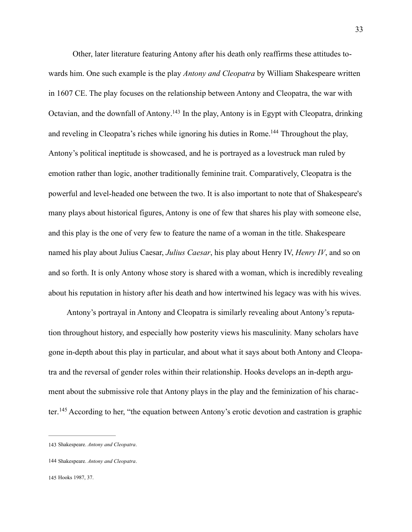<span id="page-36-4"></span><span id="page-36-3"></span>Other, later literature featuring Antony after his death only reaffirms these attitudes towards him. One such example is the play *Antony and Cleopatra* by William Shakespeare written in 1607 CE. The play focuses on the relationship between Antony and Cleopatra, the war with Octavian, and the downfall of Antony[.](#page-36-0)<sup>[143](#page-36-0)</sup> In the play, Antony is in Egypt with Cleopatra, drinking and reveling in Cleopatra's riches while ignoring his duties in Rome[.](#page-36-1)<sup>[144](#page-36-1)</sup> Throughout the play, Antony's political ineptitude is showcased, and he is portrayed as a lovestruck man ruled by emotion rather than logic, another traditionally feminine trait. Comparatively, Cleopatra is the powerful and level-headed one between the two. It is also important to note that of Shakespeare's many plays about historical figures, Antony is one of few that shares his play with someone else, and this play is the one of very few to feature the name of a woman in the title. Shakespeare named his play about Julius Caesar, *Julius Caesar*, his play about Henry IV, *Henry IV*, and so on and so forth. It is only Antony whose story is shared with a woman, which is incredibly revealing about his reputation in history after his death and how intertwined his legacy was with his wives.

Antony's portrayal in Antony and Cleopatra is similarly revealing about Antony's reputation throughout history, and especially how posterity views his masculinity. Many scholars have gone in-depth about this play in particular, and about what it says about both Antony and Cleopatra and the reversal of gender roles within their relationship. Hooks develops an in-depth argument about the submissive role that Antony plays in the play and the feminization of his charac-ter.<sup>[145](#page-36-2)</sup> According to her, "the equation between Antony's erotic devotion and castration is graphic

<span id="page-36-5"></span><span id="page-36-0"></span>[<sup>143</sup>](#page-36-3) Shakespeare. *Antony and Cleopatra*.

<span id="page-36-1"></span>[<sup>144</sup>](#page-36-4) Shakespeare. *Antony and Cleopatra*.

<span id="page-36-2"></span>[<sup>145</sup>](#page-36-5) Hooks 1987, 37.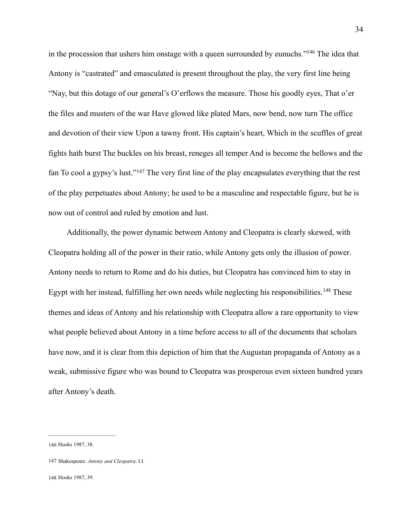<span id="page-37-3"></span>in the procession that ushers him onstage with a queen surrounded by eunuchs.["](#page-37-0)<sup>[146](#page-37-0)</sup> The idea that Antony is "castrated" and emasculated is present throughout the play, the very first line being "Nay, but this dotage of our general's O'erflows the measure. Those his goodly eyes, That o'er the files and musters of the war Have glowed like plated Mars, now bend, now turn The office and devotion of their view Upon a tawny front. His captain's heart, Which in the scuffles of great fights hath burst The buckles on his breast, reneges all temper And is become the bellows and the fan To cool a gypsy's lust.["](#page-37-1)<sup>[147](#page-37-1)</sup> The very first line of the play encapsulates everything that the rest of the play perpetuates about Antony; he used to be a masculine and respectable figure, but he is now out of control and ruled by emotion and lust.

<span id="page-37-5"></span><span id="page-37-4"></span>Additionally, the power dynamic between Antony and Cleopatra is clearly skewed, with Cleopatra holding all of the power in their ratio, while Antony gets only the illusion of power. Antony needs to return to Rome and do his duties, but Cleopatra has convinced him to stay in Egyptwith her instead, fulfilling her own needs while neglecting his responsibilities.<sup>[148](#page-37-2)</sup> These themes and ideas of Antony and his relationship with Cleopatra allow a rare opportunity to view what people believed about Antony in a time before access to all of the documents that scholars have now, and it is clear from this depiction of him that the Augustan propaganda of Antony as a weak, submissive figure who was bound to Cleopatra was prosperous even sixteen hundred years after Antony's death.

<span id="page-37-0"></span>[<sup>146</sup>](#page-37-3) Hooks 1987, 38.

<span id="page-37-1"></span>[<sup>147</sup>](#page-37-4) Shakespeare. *Antony and Cleopatra*. I.I.

<span id="page-37-2"></span>[<sup>148</sup>](#page-37-5) Hooks 1987, 39.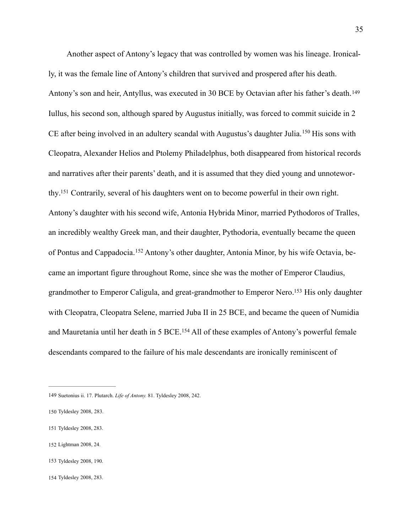<span id="page-38-8"></span><span id="page-38-7"></span><span id="page-38-6"></span>Another aspect of Antony's legacy that was controlled by women was his lineage. Ironically, it was the female line of Antony's children that survived and prospered after his death. Antony's son and heir, Antyllus, was executed in 30 BCE by Octavian after his father's death.[149](#page-38-0) Iullus, his second son, although spared by Augustus initially, was forced to commit suicide in 2 CEafter being involved in an adultery scandal with Augustus's daughter Julia.<sup>[150](#page-38-1)</sup> His sons with Cleopatra, Alexander Helios and Ptolemy Philadelphus, both disappeared from historical records and narratives after their parents' death, and it is assumed that they died young and unnotewor-thy[.](#page-38-2)<sup>151</sup> Contrarily, several of his daughters went on to become powerful in their own right. Antony's daughter with his second wife, Antonia Hybrida Minor, married Pythodoros of Tralles, an incredibly wealthy Greek man, and their daughter, Pythodoria, eventually became the queen ofPontus and Cappadocia. <sup>152</sup> Antony's other daughter, Antonia Minor, by his wife Octavia, became an important figure throughout Rome, since she was the mother of Emperor Claudius, grandmother to Emperor Caligula, and great-grandmother to Emperor Nero[.](#page-38-4)<sup>[153](#page-38-4)</sup> His only daughter with Cleopatra, Cleopatra Selene, married Juba II in 25 BCE, and became the queen of Numidia and Mauretania until her death in 5 BCE[.](#page-38-5)<sup>[154](#page-38-5)</sup> All of these examples of Antony's powerful female descendants compared to the failure of his male descendants are ironically reminiscent of

- <span id="page-38-3"></span>[152](#page-38-9) Lightman 2008, 24.
- <span id="page-38-4"></span>[153](#page-38-10) Tyldesley 2008, 190.
- <span id="page-38-5"></span>[154](#page-38-11) Tyldesley 2008, 283.

<span id="page-38-11"></span><span id="page-38-10"></span><span id="page-38-9"></span><span id="page-38-0"></span>[<sup>149</sup>](#page-38-6) Suetonius ii. 17. Plutarch. *Life of Antony.* 81. Tyldesley 2008, 242.

<span id="page-38-1"></span>[<sup>150</sup>](#page-38-7) Tyldesley 2008, 283.

<span id="page-38-2"></span>[<sup>151</sup>](#page-38-8) Tyldesley 2008, 283.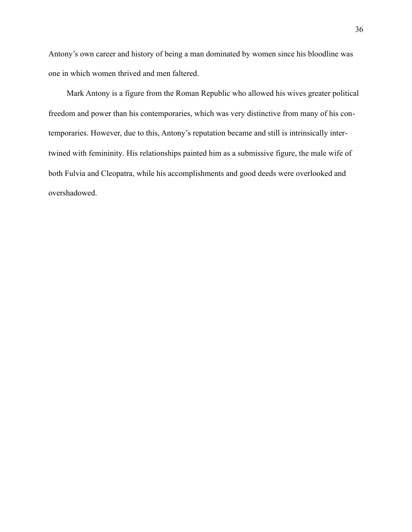Antony's own career and history of being a man dominated by women since his bloodline was one in which women thrived and men faltered.

Mark Antony is a figure from the Roman Republic who allowed his wives greater political freedom and power than his contemporaries, which was very distinctive from many of his contemporaries. However, due to this, Antony's reputation became and still is intrinsically intertwined with femininity. His relationships painted him as a submissive figure, the male wife of both Fulvia and Cleopatra, while his accomplishments and good deeds were overlooked and overshadowed.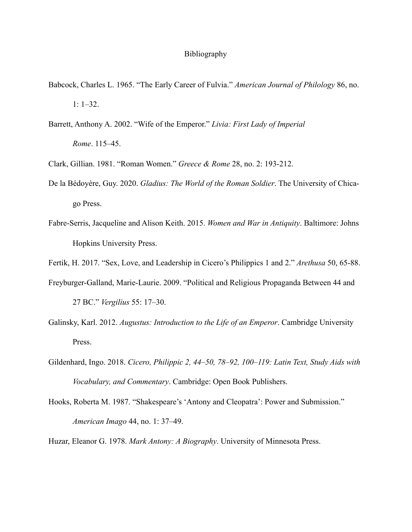### Bibliography

- Babcock, Charles L. 1965. "The Early Career of Fulvia." *American Journal of Philology* 86, no. 1: 1–32.
- Barrett, Anthony A. 2002. "Wife of the Emperor." *Livia: First Lady of Imperial Rome*. 115–45.
- Clark, Gillian. 1981. "Roman Women." *Greece & Rome* 28, no. 2: 193-212.
- De la Bédoyère, Guy. 2020. *Gladius: The World of the Roman Soldier*. The University of Chicago Press.
- Fabre-Serris, Jacqueline and Alison Keith. 2015. *Women and War in Antiquity*. Baltimore: Johns Hopkins University Press.
- Fertik, H. 2017. "Sex, Love, and Leadership in Cicero's Philippics 1 and 2." *Arethusa* 50, 65-88.
- Freyburger-Galland, Marie-Laurie. 2009. "Political and Religious Propaganda Between 44 and 27 BC." *Vergilius* 55: 17–30.
- Galinsky, Karl. 2012. *Augustus: Introduction to the Life of an Emperor*. Cambridge University Press.
- Gildenhard, Ingo. 2018. *Cicero, Philippic 2, 44–50, 78–92, 100–119: Latin Text, Study Aids with Vocabulary, and Commentary*. Cambridge: Open Book Publishers.
- Hooks, Roberta M. 1987. "Shakespeare's 'Antony and Cleopatra': Power and Submission." *American Imago* 44, no. 1: 37–49.
- Huzar, Eleanor G. 1978. *Mark Antony: A Biography*. University of Minnesota Press.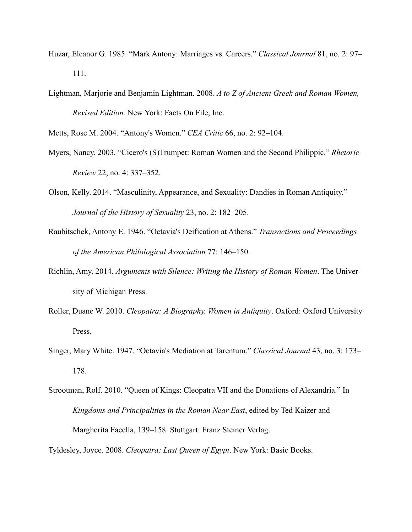- Huzar, Eleanor G. 1985. "Mark Antony: Marriages vs. Careers." *Classical Journal* 81, no. 2: 97– 111.
- Lightman, Marjorie and Benjamin Lightman. 2008. *A to Z of Ancient Greek and Roman Women, Revised Edition.* New York: Facts On File, Inc.

Metts, Rose M. 2004. "Antony's Women." *CEA Critic* 66, no. 2: 92–104.

- Myers, Nancy. 2003. "Cicero's (S)Trumpet: Roman Women and the Second Philippic." *Rhetoric Review* 22, no. 4: 337–352.
- Olson, Kelly. 2014. "Masculinity, Appearance, and Sexuality: Dandies in Roman Antiquity." *Journal of the History of Sexuality* 23, no. 2: 182–205.
- Raubitschek, Antony E. 1946. "Octavia's Deification at Athens." *Transactions and Proceedings of the American Philological Association* 77: 146–150.
- Richlin, Amy. 2014. *Arguments with Silence: Writing the History of Roman Women*. The University of Michigan Press.
- Roller, Duane W. 2010. *Cleopatra: A Biography. Women in Antiquity*. Oxford: Oxford University Press.
- Singer, Mary White. 1947. "Octavia's Mediation at Tarentum." *Classical Journal* 43, no. 3: 173– 178.

Tyldesley, Joyce. 2008. *Cleopatra: Last Queen of Egypt*. New York: Basic Books.

Strootman, Rolf. 2010. "Queen of Kings: Cleopatra VII and the Donations of Alexandria." In *Kingdoms and Principalities in the Roman Near East*, edited by Ted Kaizer and Margherita Facella, 139–158. Stuttgart: Franz Steiner Verlag.